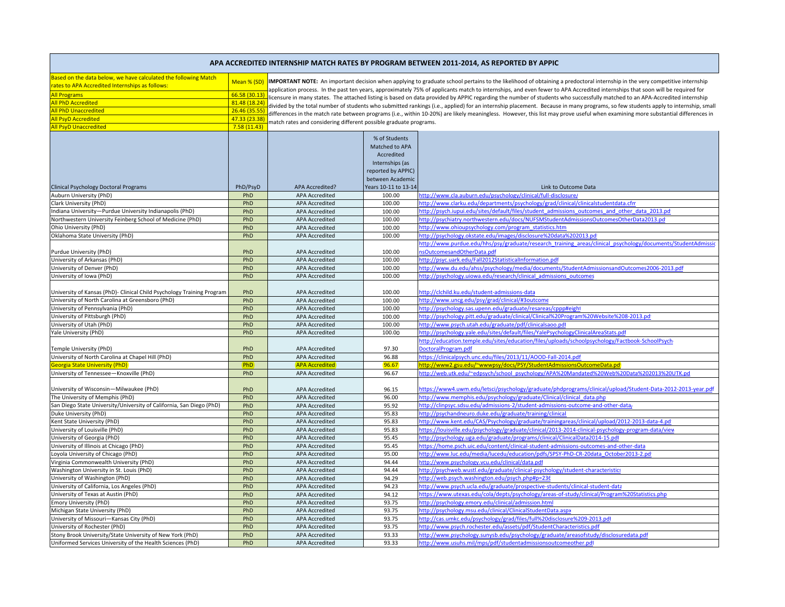| APA ACCREDITED INTERNSHIP MATCH RATES BY PROGRAM BETWEEN 2011-2014, AS REPORTED BY APPIC                                                  |                              |                                                                                                                                                                                                                                                                                                                                                             |                                                                                                            |                                                                                                                                                                                  |  |
|-------------------------------------------------------------------------------------------------------------------------------------------|------------------------------|-------------------------------------------------------------------------------------------------------------------------------------------------------------------------------------------------------------------------------------------------------------------------------------------------------------------------------------------------------------|------------------------------------------------------------------------------------------------------------|----------------------------------------------------------------------------------------------------------------------------------------------------------------------------------|--|
| Based on the data below, we have calculated the following Match<br>rates to APA Accredited Internships as follows:<br><b>All Programs</b> | Mean % (SD)<br>66.58 (30.13) | IMPORTANT NOTE: An important decision when applying to graduate school pertains to the likelihood of obtaining a predoctoral internship in the very competitive internship<br>application process. In the past ten years, approximately 75% of applicants match to internships, and even fewer to APA Accredited internships that soon will be required for |                                                                                                            |                                                                                                                                                                                  |  |
| All PhD Accredited                                                                                                                        | 81.48 (18.24)                |                                                                                                                                                                                                                                                                                                                                                             |                                                                                                            | icensure in many states. The attached listing is based on data provided by APPIC regarding the number of students who successfully matched to an APA-Accredited internship       |  |
| <b>All PhD Unaccredited</b>                                                                                                               | 26.46 (35.55)                |                                                                                                                                                                                                                                                                                                                                                             |                                                                                                            | divided by the total number of students who submitted rankings (i.e., applied) for an internship placement. Because in many programs, so few students apply to internship, small |  |
| <b>All PsyD Accredited</b>                                                                                                                | 47.33 (23.38)                |                                                                                                                                                                                                                                                                                                                                                             |                                                                                                            | differences in the match rate between programs (i.e., within 10-20%) are likely meaningless. However, this list may prove useful when examining more substantial differences in  |  |
| <b>All PsyD Unaccredited</b>                                                                                                              | 7.58(11.43)                  | natch rates and considering different possible graduate programs.                                                                                                                                                                                                                                                                                           |                                                                                                            |                                                                                                                                                                                  |  |
|                                                                                                                                           |                              |                                                                                                                                                                                                                                                                                                                                                             |                                                                                                            |                                                                                                                                                                                  |  |
|                                                                                                                                           |                              |                                                                                                                                                                                                                                                                                                                                                             | % of Students<br>Matched to APA<br>Accredited<br>Internships (as<br>reported by APPIC)<br>between Academic |                                                                                                                                                                                  |  |
| Clinical Psychology Doctoral Programs                                                                                                     | PhD/PsyD                     | APA Accredited?                                                                                                                                                                                                                                                                                                                                             | Years 10-11 to 13-1                                                                                        | Link to Outcome Data                                                                                                                                                             |  |
| Auburn University (PhD)                                                                                                                   | PhD                          | APA Accredited                                                                                                                                                                                                                                                                                                                                              | 100.00                                                                                                     | http://www.cla.auburn.edu/psychology/clinical/full-disclosure/                                                                                                                   |  |
| Clark University (PhD)                                                                                                                    | PhD                          | <b>APA Accredited</b>                                                                                                                                                                                                                                                                                                                                       | 100.00                                                                                                     | http://www.clarku.edu/departments/psychology/grad/clinical/clinicalstudentdata.cfm                                                                                               |  |
| ndiana University—Purdue University Indianapolis (PhD)                                                                                    | PhD                          | <b>APA Accredited</b>                                                                                                                                                                                                                                                                                                                                       | 100.00                                                                                                     | http://psych.iupui.edu/sites/default/files/student admissions outcomes and other data 2013.pd                                                                                    |  |
| Northwestern University Feinberg School of Medicine (PhD)                                                                                 | PhD                          | APA Accredited                                                                                                                                                                                                                                                                                                                                              | 100.00                                                                                                     | http://psychiatry.northwestern.edu/docs/NUFSMStudentAdmissionsOutcomesOtherData2013.pd                                                                                           |  |
| Ohio University (PhD)                                                                                                                     | PhD                          | <b>APA Accredited</b>                                                                                                                                                                                                                                                                                                                                       | 100.00                                                                                                     |                                                                                                                                                                                  |  |
|                                                                                                                                           | PhD                          | <b>APA Accredited</b>                                                                                                                                                                                                                                                                                                                                       | 100.00                                                                                                     | http://www.ohioupsychology.com/program_statistics.htm<br>http://psychology.okstate.edu/images/disclosure%20data%202013.pdf                                                       |  |
| Oklahoma State University (PhD)                                                                                                           |                              |                                                                                                                                                                                                                                                                                                                                                             |                                                                                                            |                                                                                                                                                                                  |  |
|                                                                                                                                           |                              |                                                                                                                                                                                                                                                                                                                                                             |                                                                                                            | http://www.purdue.edu/hhs/psy/graduate/research training areas/clinical psychology/documents/StudentAdmissio                                                                     |  |
| Purdue University (PhD)                                                                                                                   | PhD                          | <b>APA Accredited</b>                                                                                                                                                                                                                                                                                                                                       | 100.00                                                                                                     | nsOutcomesandOtherData.pdf                                                                                                                                                       |  |
| University of Arkansas (PhD)                                                                                                              | PhD                          | <b>APA Accredited</b>                                                                                                                                                                                                                                                                                                                                       | 100.00                                                                                                     | http://psyc.uark.edu/Fall2012StatisticalInformation.pdf                                                                                                                          |  |
| University of Denver (PhD)                                                                                                                | PhD                          | <b>APA Accredited</b>                                                                                                                                                                                                                                                                                                                                       | 100.00                                                                                                     | http://www.du.edu/ahss/psychology/media/documents/StudentAdmissionsandOutcomes2006-2013.pdf                                                                                      |  |
| University of Iowa (PhD)                                                                                                                  | PhD                          | <b>APA Accredited</b>                                                                                                                                                                                                                                                                                                                                       | 100.00                                                                                                     | http://psychology.uiowa.edu/research/clinical admissions outcomes                                                                                                                |  |
| University of Kansas (PhD)- Clinical Child Psychology Training Program                                                                    | PhD                          | APA Accredited                                                                                                                                                                                                                                                                                                                                              | 100.00                                                                                                     | http://clchild.ku.edu/student-admissions-data                                                                                                                                    |  |
| University of North Carolina at Greensboro (PhD)                                                                                          | PhD                          | APA Accredited                                                                                                                                                                                                                                                                                                                                              | 100.00                                                                                                     | http://www.uncg.edu/psy/grad/clinical/#3outcome                                                                                                                                  |  |
| University of Pennsylvania (PhD)                                                                                                          | PhD                          | <b>APA Accredited</b>                                                                                                                                                                                                                                                                                                                                       | 100.00                                                                                                     | http://psychology.sas.upenn.edu/graduate/resareas/cppp#eight                                                                                                                     |  |
| University of Pittsburgh (PhD)                                                                                                            | PhD                          | <b>APA Accredited</b>                                                                                                                                                                                                                                                                                                                                       | 100.00                                                                                                     | http://psychology.pitt.edu/graduate/clinical/Clinical%20Program%20Website%208-2013.pd                                                                                            |  |
| University of Utah (PhD)                                                                                                                  | PhD                          | <b>APA Accredited</b>                                                                                                                                                                                                                                                                                                                                       | 100.00                                                                                                     | http://www.psych.utah.edu/graduate/pdf/clinicalsaoo.pdf                                                                                                                          |  |
| Yale University (PhD)                                                                                                                     | PhD                          | <b>APA Accredited</b>                                                                                                                                                                                                                                                                                                                                       | 100.00                                                                                                     | http://psychology.yale.edu/sites/default/files/YalePsychologyClinicalAreaStats.pdf                                                                                               |  |
|                                                                                                                                           |                              |                                                                                                                                                                                                                                                                                                                                                             |                                                                                                            | http://education.temple.edu/sites/education/files/uploads/schoolpsychology/Factbook-SchoolPsych                                                                                  |  |
| Temple University (PhD)                                                                                                                   | PhD                          | <b>APA Accredited</b>                                                                                                                                                                                                                                                                                                                                       | 97.30                                                                                                      | OoctoralProgram.pdf                                                                                                                                                              |  |
| University of North Carolina at Chapel Hill (PhD)                                                                                         | PhD                          | <b>APA Accredited</b>                                                                                                                                                                                                                                                                                                                                       | 96.88                                                                                                      | https://clinicalpsych.unc.edu/files/2013/11/AOOD-Fall-2014.pdf                                                                                                                   |  |
| ieorgia State University (PhD)                                                                                                            | PhD                          | <b>APA Accredited</b>                                                                                                                                                                                                                                                                                                                                       | 96.67                                                                                                      | http://www2.gsu.edu/~wwwpsy/docs/PSY/StudentAdmissionsOutcomeData.pd                                                                                                             |  |
| University of Tennessee-Knoxville (PhD)                                                                                                   | PhD                          | APA Accredited                                                                                                                                                                                                                                                                                                                                              | 96.67                                                                                                      | http://web.utk.edu/~edpsych/school_psychology/APA%20Mandated%20Web%20Data%202013%20UTK.pd                                                                                        |  |
| University of Wisconsin-Milwaukee (PhD)                                                                                                   | PhD                          | <b>APA Accredited</b>                                                                                                                                                                                                                                                                                                                                       | 96.15                                                                                                      | https://www4.uwm.edu/letsci/psychology/graduate/phdprograms/clinical/upload/Student-Data-2012-2013-year.pdf                                                                      |  |
| The University of Memphis (PhD)                                                                                                           | PhD                          | <b>APA Accredited</b>                                                                                                                                                                                                                                                                                                                                       | 96.00                                                                                                      | http://www.memphis.edu/psychology/graduate/Clinical/clinical_data.php                                                                                                            |  |
| San Diego State University/University of California, San Diego (PhD)                                                                      | PhD                          | APA Accredited                                                                                                                                                                                                                                                                                                                                              | 95.92                                                                                                      | http://clinpsyc.sdsu.edu/admissions-2/student-admissions-outcome-and-other-data/                                                                                                 |  |
| Duke University (PhD)                                                                                                                     | PhD                          | <b>APA Accredited</b>                                                                                                                                                                                                                                                                                                                                       | 95.83                                                                                                      | http://psychandneuro.duke.edu/graduate/training/clinical                                                                                                                         |  |
| Kent State University (PhD)                                                                                                               | PhD                          | <b>APA Accredited</b>                                                                                                                                                                                                                                                                                                                                       | 95.83                                                                                                      | http://www.kent.edu/CAS/Psychology/graduate/trainingareas/clinical/upload/2012-2013-data-4.pd                                                                                    |  |
| University of Louisville (PhD)                                                                                                            | PhD                          | <b>APA Accredited</b>                                                                                                                                                                                                                                                                                                                                       | 95.83                                                                                                      | https://louisville.edu/psychology/graduate/clinical/2013-2014-clinical-psychology-program-data/view                                                                              |  |
| University of Georgia (PhD)                                                                                                               | PhD                          | <b>APA Accredited</b>                                                                                                                                                                                                                                                                                                                                       | 95.45                                                                                                      | http://psychology.uga.edu/graduate/programs/clinical/ClinicalData2014-15.pdf                                                                                                     |  |
| University of Illinois at Chicago (PhD)                                                                                                   | PhD                          | <b>APA Accredited</b>                                                                                                                                                                                                                                                                                                                                       | 95.45                                                                                                      | https://home.psch.uic.edu/content/clinical-student-admissions-outcomes-and-other-data                                                                                            |  |
| oyola University of Chicago (PhD)                                                                                                         | PhD                          | <b>APA Accredited</b>                                                                                                                                                                                                                                                                                                                                       | 95.00                                                                                                      | http://www.luc.edu/media/lucedu/education/pdfs/SPSY-PhD-CR-20data_October2013-2.pd                                                                                               |  |
| Virginia Commonwealth University (PhD)                                                                                                    | PhD                          | <b>APA Accredited</b>                                                                                                                                                                                                                                                                                                                                       | 94.44                                                                                                      | http://www.psychology.vcu.edu/clinical/data.pdf                                                                                                                                  |  |
| Washington University in St. Louis (PhD)                                                                                                  | PhD                          | <b>APA Accredited</b>                                                                                                                                                                                                                                                                                                                                       | 94.44                                                                                                      | http://psychweb.wustl.edu/graduate/clinical-psychology/student-characteristics                                                                                                   |  |
| University of Washington (PhD)                                                                                                            | PhD                          | APA Accredited                                                                                                                                                                                                                                                                                                                                              | 94.29                                                                                                      | http://web.psych.washington.edu/psych.php#p=236                                                                                                                                  |  |
|                                                                                                                                           |                              |                                                                                                                                                                                                                                                                                                                                                             |                                                                                                            |                                                                                                                                                                                  |  |
| University of California, Los Angeles (PhD)                                                                                               | PhD<br>PhD                   | <b>APA Accredited</b><br>APA Accredited                                                                                                                                                                                                                                                                                                                     | 94.23<br>94.12                                                                                             | http://www.psych.ucla.edu/graduate/prospective-students/clinical-student-data                                                                                                    |  |
| University of Texas at Austin (PhD)                                                                                                       |                              |                                                                                                                                                                                                                                                                                                                                                             |                                                                                                            | ttps://www.utexas.edu/cola/depts/psychology/areas-of-study/clinical/Program%20Statistics.php                                                                                     |  |
| Emory University (PhD)                                                                                                                    | PhD                          | <b>APA Accredited</b>                                                                                                                                                                                                                                                                                                                                       | 93.75                                                                                                      | http://psychology.emory.edu/clinical/admission.html                                                                                                                              |  |
| Michigan State University (PhD)                                                                                                           | PhD                          | APA Accredited                                                                                                                                                                                                                                                                                                                                              | 93.75                                                                                                      | http://psychology.msu.edu/clinical/ClinicalStudentData.aspx                                                                                                                      |  |
| University of Missouri-Kansas City (PhD)                                                                                                  | PhD                          | <b>APA Accredited</b>                                                                                                                                                                                                                                                                                                                                       | 93.75                                                                                                      | http://cas.umkc.edu/psychology/grad/files/full%20disclosure%209-2013.pdf                                                                                                         |  |
| University of Rochester (PhD)                                                                                                             | PhD                          | <b>APA Accredited</b>                                                                                                                                                                                                                                                                                                                                       | 93.75                                                                                                      | http://www.psych.rochester.edu/assets/pdf/StudentCharacteristics.pdf                                                                                                             |  |
| Stony Brook University/State University of New York (PhD)                                                                                 | PhD                          | <b>APA Accredited</b>                                                                                                                                                                                                                                                                                                                                       | 93.33                                                                                                      | http://www.psychology.sunysb.edu/psychology/graduate/areasofstudy/disclosuredata.pdf                                                                                             |  |
| Uniformed Services University of the Health Sciences (PhD)                                                                                | PhD                          | <b>APA Accredited</b>                                                                                                                                                                                                                                                                                                                                       | 93.33                                                                                                      | http://www.usuhs.mil/mps/pdf/studentadmissionsoutcomeother.pdf                                                                                                                   |  |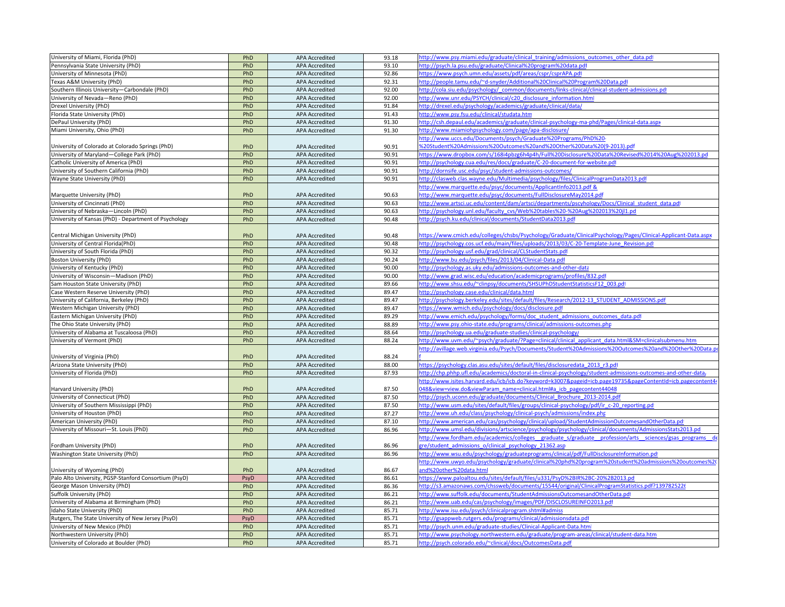| University of Miami, Florida (PhD)                    | PhD  | <b>APA Accredited</b> | 93.18 | ttp://www.psy.miami.edu/graduate/clinical_training/admissions_outcomes_other_data.pdf                          |
|-------------------------------------------------------|------|-----------------------|-------|----------------------------------------------------------------------------------------------------------------|
| Pennsylvania State University (PhD)                   | PhD  | <b>APA Accredited</b> | 93.10 | http://psych.la.psu.edu/graduate/Clinical%20program%20data.pdl                                                 |
| University of Minnesota (PhD)                         | PhD  | <b>APA Accredited</b> | 92.86 | https://www.psych.umn.edu/assets/pdf/areas/cspr/csprAPA.pdf                                                    |
| Texas A&M University (PhD)                            | PhD  | <b>APA Accredited</b> | 92.31 | http://people.tamu.edu/~d-snyder/Additional%20Clinical%20Program%20Data.pdf                                    |
| Southern Illinois University-Carbondale (PhD)         | PhD  | <b>APA Accredited</b> | 92.00 | http://cola.siu.edu/psychology/_common/documents/links-clinical/clinical-student-admissions.pdf                |
| University of Nevada-Reno (PhD)                       | PhD  | <b>APA Accredited</b> | 92.00 | http://www.unr.edu/PSYCH/clinical/c20 disclosure information.html                                              |
| Drexel University (PhD)                               | PhD  | <b>APA Accredited</b> | 91.84 | /ttp://drexel.edu/psychology/academics/graduate/clinical/data                                                  |
| Florida State University (PhD)                        | PhD  | <b>APA Accredited</b> | 91.43 | http://www.psy.fsu.edu/clinical/studata.htm                                                                    |
| DePaul University (PhD)                               | PhD  | <b>APA Accredited</b> | 91.30 | http://csh.depaul.edu/academics/graduate/clinical-psychology-ma-phd/Pages/clinical-data.aspx                   |
| Miami University, Ohio (PhD)                          | PhD  | <b>APA Accredited</b> | 91.30 | http://www.miamiohpsychology.com/page/apa-disclosure/                                                          |
|                                                       |      |                       |       | http://www.uccs.edu/Documents/psych/Graduate%20Programs/PhD%20-                                                |
| University of Colorado at Colorado Springs (PhD)      | PhD  | <b>APA Accredited</b> | 90.91 | %20Student%20Admissions%20Outcomes%20and%20Other%20Data%20(9-2013).pdf                                         |
| University of Maryland-College Park (PhD)             | PhD  | <b>APA Accredited</b> | 90.91 | https://www.dropbox.com/s/168i4pbzg6h4p4h/Full%20Disclosure%20Data%20Revised%2014%20Aug%202013.pd              |
| Catholic University of America (PhD)                  | PhD  | <b>APA Accredited</b> | 90.91 | http://psychology.cua.edu/res/docs/graduate/C-20-document-for-website.pdf                                      |
| University of Southern California (PhD)               | PhD  | <b>APA Accredited</b> | 90.91 | http://dornsife.usc.edu/psyc/student-admissions-outcomes/                                                      |
| Wayne State University (PhD)                          | PhD  | <b>APA Accredited</b> | 90.91 | http://clasweb.clas.wayne.edu/Multimedia/psychology/files/ClinicalProgramData2013.pdf                          |
|                                                       |      |                       |       | http://www.marquette.edu/psyc/documents/ApplicantInfo2013.pdf &                                                |
| Marquette University (PhD)                            | PhD  | <b>APA Accredited</b> | 90.63 | http://www.marquette.edu/psyc/documents/FullDisclosureMay2014.pdf                                              |
| University of Cincinnati (PhD)                        | PhD  | <b>APA Accredited</b> | 90.63 | http://www.artsci.uc.edu/content/dam/artsci/departments/pscyhology/Docs/Clinical student data.pdf              |
|                                                       | PhD  | <b>APA Accredited</b> | 90.63 |                                                                                                                |
| University of Nebraska—Lincoln (PhD)                  |      |                       |       | http://psychology.unl.edu/faculty_cvs/Web%20tables%20-%20Aug%202013%20jl1.pd                                   |
| University of Kansas (PhD) - Department of Psychology | PhD  | <b>APA Accredited</b> | 90.48 | http://psych.ku.edu/clinical/documents/StudentData2013.pdf                                                     |
|                                                       |      |                       |       |                                                                                                                |
| Central Michigan University (PhD)                     | PhD  | <b>APA Accredited</b> | 90.48 | https://www.cmich.edu/colleges/chsbs/Psychology/Graduate/ClinicalPsychology/Pages/Clinical-Applicant-Data.aspx |
| University of Central Florida(PhD)                    | PhD  | <b>APA Accredited</b> | 90.48 | http://psychology.cos.ucf.edu/main/files/uploads/2013/03/C-20-Template-June Revision.pdf                       |
| University of South Florida (PhD)                     | PhD  | <b>APA Accredited</b> | 90.32 | http://psychology.usf.edu/grad/clinical/CLStudentStats.pdf                                                     |
| Boston University (PhD)                               | PhD  | <b>APA Accredited</b> | 90.24 | http://www.bu.edu/psych/files/2013/04/Clinical-Data.pdf                                                        |
| University of Kentucky (PhD)                          | PhD  | <b>APA Accredited</b> | 90.00 | http://psychology.as.uky.edu/admissions-outcomes-and-other-data                                                |
| University of Wisconsin-Madison (PhD)                 | PhD  | <b>APA Accredited</b> | 90.00 | http://www.grad.wisc.edu/education/academicprograms/profiles/832.pdf                                           |
| Sam Houston State University (PhD)                    | PhD  | <b>APA Accredited</b> | 89.66 | http://www.shsu.edu/~clinpsy/documents/SHSUPhDStudentStatisticsF12_003.pd                                      |
| Case Western Reserve University (PhD)                 | PhD  | <b>APA Accredited</b> | 89.47 | http://psychology.case.edu/clinical/data.html                                                                  |
| University of California, Berkeley (PhD)              | PhD  | <b>APA Accredited</b> | 89.47 | http://psychology.berkeley.edu/sites/default/files/Research/2012-13_STUDENT_ADMISSIONS.pdf                     |
| Western Michigan University (PhD)                     | PhD  | <b>APA Accredited</b> | 89.47 | https://www.wmich.edu/psychology/docs/disclosure.pdf                                                           |
| Eastern Michigan University (PhD)                     | PhD  | <b>APA Accredited</b> | 89.29 | http://www.emich.edu/psychology/forms/doc student admissions outcomes data.pdf                                 |
| The Ohio State University (PhD)                       | PhD  | <b>APA Accredited</b> | 88.89 | http://www.psy.ohio-state.edu/programs/clinical/admissions-outcomes.php                                        |
| University of Alabama at Tuscaloosa (PhD)             | PhD  | <b>APA Accredited</b> | 88.64 | http://psychology.ua.edu/graduate-studies/clinical-psychology                                                  |
| University of Vermont (PhD)                           | PhD  | <b>APA Accredited</b> | 88.24 | ttp://www.uvm.edu/~psych/graduate/?Page=clinical/clinical applicant data.html&SM=clinicalsubmenu.htm           |
|                                                       |      |                       |       | ittp://avillage.web.virginia.edu/Psych/Documents/Student%20Admissions%20Outcomes%20and%20Other%20Data.p        |
| University of Virginia (PhD)                          | PhD  | <b>APA Accredited</b> | 88.24 |                                                                                                                |
| Arizona State University (PhD)                        | PhD  | <b>APA Accredited</b> | 88.00 | https://psychology.clas.asu.edu/sites/default/files/disclosuredata 2013 r3.pdf                                 |
| University of Florida (PhD)                           | PhD  | <b>APA Accredited</b> | 87.93 | http://chp.phhp.ufl.edu/academics/doctoral-in-clinical-psychology/student-admissions-outcomes-and-other-data   |
|                                                       |      |                       |       | http://www.isites.harvard.edu/icb/icb.do?keyword=k3007&pageid=icb.page19735&pageContentId=icb.pagecontent44    |
| Harvard University (PhD)                              | PhD  | <b>APA Accredited</b> | 87.50 | 048&view=view.do&viewParam_name=clinical.html#a_icb_pagecontent44048                                           |
| University of Connecticut (PhD)                       | PhD  | <b>APA Accredited</b> | 87.50 | http://psych.uconn.edu/graduate/documents/Clinical Brochure 2013-2014.pdf                                      |
| University of Southern Mississippi (PhD)              | PhD  | <b>APA Accredited</b> | 87.50 | http://www.usm.edu/sites/default/files/groups/clinical-psychology/pdf/ir_c-20_reporting.pd                     |
| University of Houston (PhD)                           | PhD  | <b>APA Accredited</b> | 87.27 | ittp://www.uh.edu/class/psychology/clinical-psych/admissions/index.php                                         |
| American University (PhD)                             | PhD  | <b>APA Accredited</b> | 87.10 | ttp://www.american.edu/cas/psychology/clinical/upload/StudentAdmissionOutcomesandOtherData.pd                  |
| University of Missouri-St. Louis (PhD)                | PhD  | <b>APA Accredited</b> | 86.96 | http://www.umsl.edu/divisions/artscience/psychology/psychology/clinical/documents/AdmissionsStats2013.pd       |
|                                                       |      |                       |       | http://www.fordham.edu/academics/colleges graduate s/graduate profession/arts sciences/gsas programs de        |
| Fordham University (PhD)                              | PhD  | <b>APA Accredited</b> | 86.96 | gre/student admissions o/clinical psychology 21362.asp                                                         |
| Washington State University (PhD)                     | PhD  | <b>APA Accredited</b> | 86.96 | http://www.wsu.edu/psychology/graduateprograms/clinical/pdf/FullDisclosureInformation.pdf                      |
|                                                       |      |                       |       | http://www.uwyo.edu/psychology/graduate/clinical%20phd%20program%20student%20admissions%20outcomes%20          |
| University of Wyoming (PhD)                           | PhD  | <b>APA Accredited</b> | 86.67 | and%20other%20data.html                                                                                        |
| Palo Alto University, PGSP-Stanford Consortium (PsyD) | PsyD | <b>APA Accredited</b> | 86.61 | https://www.paloaltou.edu/sites/default/files/u331/PsyD%2BIR%2BC-20%2B2013.pd                                  |
| George Mason University (PhD)                         | PhD  | <b>APA Accredited</b> | 86.36 | http://s3.amazonaws.com/chssweb/documents/15544/original/ClinicalProgramStatistics.pdf?139782522{              |
| Suffolk University (PhD)                              | PhD  | <b>APA Accredited</b> | 86.21 | http://www.suffolk.edu/documents/StudentAdmissionsOutcomesandOtherData.pd                                      |
| University of Alabama at Birmingham (PhD)             | PhD  | <b>APA Accredited</b> | 86.21 | http://www.uab.edu/cas/psychology/images/PDF/DISCLOSUREINFO2013.pdf                                            |
| Idaho State University (PhD)                          | PhD  | <b>APA Accredited</b> | 85.71 | http://www.isu.edu/psych/clinicalprogram.shtml#admiss                                                          |
| Rutgers, The State University of New Jersey (PsyD)    | PsyD | <b>APA Accredited</b> | 85.71 | http://gsappweb.rutgers.edu/programs/clinical/admissionsdata.pdf                                               |
| University of New Mexico (PhD)                        | PhD  | <b>APA Accredited</b> | 85.71 | http://psych.unm.edu/graduate-studies/Clinical-Applicant-Data.html                                             |
| Northwestern University (PhD)                         | PhD  | <b>APA Accredited</b> | 85.71 |                                                                                                                |
|                                                       | PhD  |                       | 85.71 | http://www.psychology.northwestern.edu/graduate/program-areas/clinical/student-data.htm                        |
| University of Colorado at Boulder (PhD)               |      | <b>APA Accredited</b> |       | http://psych.colorado.edu/~clinical/docs/OutcomesData.pdf                                                      |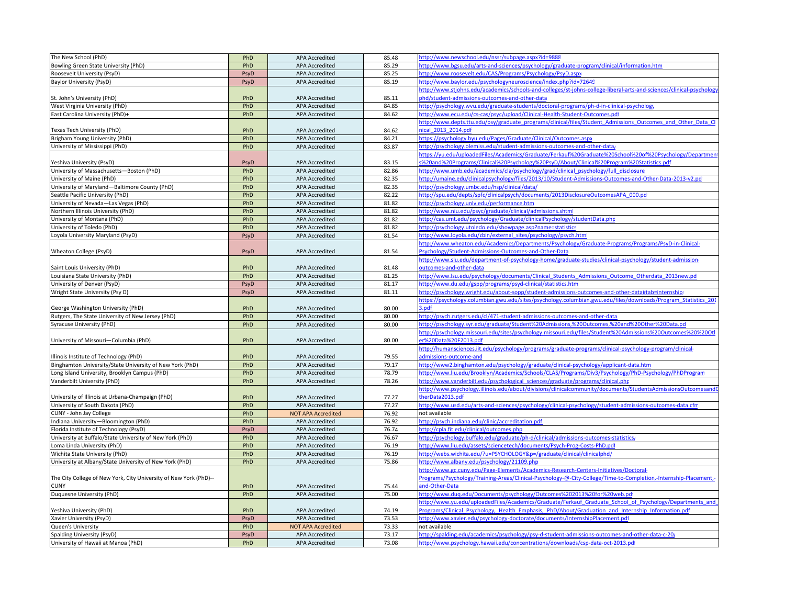| The New School (PhD)                                              | PhD  | APA Accredited            | 85.48 | http://www.newschool.edu/nssr/subpage.aspx?id=9888                                                                  |
|-------------------------------------------------------------------|------|---------------------------|-------|---------------------------------------------------------------------------------------------------------------------|
| Bowling Green State University (PhD)                              | PhD  | <b>APA Accredited</b>     | 85.29 | http://www.bgsu.edu/arts-and-sciences/psychology/graduate-program/clinical/information.htm                          |
| Roosevelt University (PsyD)                                       | PsyD | <b>APA Accredited</b>     | 85.25 | http://www.roosevelt.edu/CAS/Programs/Psychology/PsyD.aspx                                                          |
| Baylor University (PsyD)                                          | PsyD | <b>APA Accredited</b>     | 85.19 | http://www.baylor.edu/psychologyneuroscience/index.php?id=72649                                                     |
|                                                                   |      |                           |       | http://www.stjohns.edu/academics/schools-and-colleges/st-johns-college-liberal-arts-and-sciences/clinical-psycholog |
| St. John's University (PhD)                                       | PhD  | APA Accredited            | 85.11 | hd/student-admissions-outcomes-and-other-data                                                                       |
| West Virginia University (PhD)                                    | PhD  | APA Accredited            | 84.85 | http://psychology.wvu.edu/graduate-students/doctoral-programs/ph-d-in-clinical-psychology                           |
| East Carolina University (PhD)+                                   | PhD  | <b>APA Accredited</b>     | 84.62 | http://www.ecu.edu/cs-cas/psyc/upload/Clinical-Health-Student-Outcomes.pdf                                          |
|                                                                   |      |                           |       | http://www.depts.ttu.edu/psy/graduate_programs/clinical/files/Student Admissions Outcomes and Other Data Cl         |
| Texas Tech University (PhD)                                       | PhD  | <b>APA Accredited</b>     | 84.62 | ical 2013 2014.pdf                                                                                                  |
| Brigham Young University (PhD)                                    | PhD  | <b>APA Accredited</b>     | 84.21 | https://psychology.byu.edu/Pages/Graduate/Clinical/Outcomes.aspx                                                    |
| University of Mississippi (PhD)                                   | PhD  | <b>APA Accredited</b>     | 83.87 | http://psychology.olemiss.edu/student-admissions-outcomes-and-other-data                                            |
|                                                                   |      |                           |       | https://yu.edu/uploadedFiles/Academics/Graduate/Ferkauf%20Graduate%20School%20of%20Psychology/Department            |
| Yeshiva University (PsyD)                                         | PsyD | <b>APA Accredited</b>     | 83.15 | %20and%20Programs/Clinical%20Psychology%20PsyD/About/Clinical%20Program%20Statistics.pdf                            |
| University of Massachusetts-Boston (PhD)                          | PhD  | <b>APA Accredited</b>     | 82.86 | http://www.umb.edu/academics/cla/psychology/grad/clinical_psychology/full_disclosure                                |
| University of Maine (PhD)                                         | PhD  | APA Accredited            | 82.35 | http://umaine.edu/clinicalpsychology/files/2013/10/Student-Admissions-Outcomes-and-Other-Data-2013-v2.pd            |
| University of Maryland-Baltimore County (PhD)                     | PhD  | <b>APA Accredited</b>     | 82.35 | http://psychology.umbc.edu/hsp/clinical/data/                                                                       |
| Seattle Pacific University (PhD)                                  | PhD  | <b>APA Accredited</b>     | 82.22 | ittp://spu.edu/depts/spfc/clinicalpsych/documents/2013DisclosureOutcomesAPA_000.pd                                  |
| University of Nevada-Las Vegas (PhD)                              | PhD  | <b>APA Accredited</b>     | 81.82 | ittp://psychology.unlv.edu/performance.htm                                                                          |
| Northern Illinois University (PhD)                                | PhD  | <b>APA Accredited</b>     | 81.82 | http://www.niu.edu/psyc/graduate/clinical/admissions.shtml                                                          |
| University of Montana (PhD)                                       | PhD  | <b>APA Accredited</b>     | 81.82 | http://cas.umt.edu/psychology/Graduate/clinicalPsychology/studentData.php                                           |
| University of Toledo (PhD)                                        | PhD  | <b>APA Accredited</b>     | 81.82 | http://psychology.utoledo.edu/showpage.asp?name=statistics                                                          |
| Loyola University Maryland (PsyD)                                 | PsyD | APA Accredited            | 81.54 | http://www.loyola.edu/zbin/external sites/psychology/psych.html                                                     |
|                                                                   |      |                           |       | http://www.wheaton.edu/Academics/Departments/Psychology/Graduate-Programs/Programs/PsyD-in-Clinical-                |
| Wheaton College (PsyD)                                            | PsyD | APA Accredited            | 81.54 | <b>Psychology/Student-Admissions-Outcomes-and-Other-Data</b>                                                        |
|                                                                   |      |                           |       | http://www.slu.edu/department-of-psychology-home/graduate-studies/clinical-psychology/student-admission-            |
| Saint Louis University (PhD)                                      | PhD  | <b>APA Accredited</b>     | 81.48 | outcomes-and-other-data                                                                                             |
| Louisiana State University (PhD)                                  | PhD  | <b>APA Accredited</b>     | 81.25 | http://www.lsu.edu/psychology/documents/Clinical Students Admissions Outcome Otherdata 2013new.pd                   |
| University of Denver (PsyD)                                       | PsyD | <b>APA Accredited</b>     | 81.17 | http://www.du.edu/gspp/programs/psyd-clinical/statistics.html                                                       |
| Wright State University (Psy D)                                   | PsyD | <b>APA Accredited</b>     | 81.11 | nttp://psychology.wright.edu/about-sopp/student-admissions-outcomes-and-other-data#tab=internship                   |
|                                                                   |      |                           |       | https://psychology.columbian.gwu.edu/sites/psychology.columbian.gwu.edu/files/downloads/Program Statistics 201      |
| George Washington University (PhD)                                | PhD  | APA Accredited            | 80.00 | .pdf                                                                                                                |
| Rutgers, The State University of New Jersey (PhD)                 | PhD  | <b>APA Accredited</b>     | 80.00 | http://psych.rutgers.edu/cl/471-student-admissions-outcomes-and-other-data                                          |
| Syracuse University (PhD)                                         | PhD  | <b>APA Accredited</b>     | 80.00 | http://psychology.syr.edu/graduate/Student%20Admissions,%20Outcomes,%20and%20Other%20Data.pd                        |
|                                                                   |      |                           |       | http://psychology.missouri.edu/sites/psychology.missouri.edu/files/Student%20Admissions%20Outcomes%20%20Oth         |
| University of Missouri-Columbia (PhD)                             | PhD  | APA Accredited            | 80.00 | r%20Data%20F2013.pdf                                                                                                |
|                                                                   |      |                           |       | http://humansciences.iit.edu/psychology/programs/graduate-programs/clinical-psychology-program/clinical-            |
| Illinois Institute of Technology (PhD)                            | PhD  | <b>APA Accredited</b>     | 79.55 | dmissions-outcome-and                                                                                               |
| Binghamton University/State University of New York (PhD)          | PhD  | <b>APA Accredited</b>     | 79.17 | http://www2.binghamton.edu/psychology/graduate/clinical-psychology/applicant-data.htm                               |
| Long Island University, Brooklyn Campus (PhD)                     | PhD  | <b>APA Accredited</b>     | 78.79 | http://www.liu.edu/Brooklyn/Academics/Schools/CLAS/Programs/Div3/Psychology/PhD-Psychology/PhDProgram               |
| Vanderbilt University (PhD)                                       | PhD  | APA Accredited            | 78.26 | http://www.vanderbilt.edu/psychological sciences/graduate/programs/clinical.php                                     |
|                                                                   |      |                           |       | http://www.psychology.illinois.edu/about/divisions/clinicalcommunity/documents/StudentsAdmissionsOutcomesand        |
| University of Illinois at Urbana-Champaign (PhD)                  | PhD  | APA Accredited            | 77.27 | therData2013.pdf                                                                                                    |
| University of South Dakota (PhD)                                  | PhD  | <b>APA Accredited</b>     | 77.27 | http://www.usd.edu/arts-and-sciences/psychology/clinical-psychology/student-admissions-outcomes-data.cfm            |
| CUNY - John Jay College                                           | PhD  | <b>NOT APA Accredited</b> | 76.92 | not available                                                                                                       |
| Indiana University-Bloomington (PhD)                              | PhD  | <b>APA Accredited</b>     | 76.92 | http://psych.indiana.edu/clinic/accreditation.pdf                                                                   |
| Florida Institute of Technology (PsyD)                            | PsyD | <b>APA Accredited</b>     | 76.74 | http://cpla.fit.edu/clinical/outcomes.php                                                                           |
| University at Buffalo/State University of New York (PhD)          | PhD  | <b>APA Accredited</b>     | 76.67 | http://psychology.buffalo.edu/graduate/ph-d/clinical/admissions-outcomes-statistics/                                |
| Loma Linda University (PhD)                                       | PhD  | <b>APA Accredited</b>     | 76.19 | http://www.llu.edu/assets/sciencetech/documents/Psych-Prog-Costs-PhD.pd                                             |
| Wichita State University (PhD)                                    | PhD  | APA Accredited            | 76.19 | http://webs.wichita.edu/?u=PSYCHOLOGY&p=/graduate/clinical/clinicalphd/                                             |
| University at Albany/State University of New York (PhD)           | PhD  | APA Accredited            | 75.86 | http://www.albany.edu/psychology/21109.php                                                                          |
|                                                                   |      |                           |       | http://www.gc.cuny.edu/Page-Elements/Academics-Research-Centers-Initiatives/Doctoral-                               |
| The City College of New York, City University of New York (PhD)-- |      |                           |       | Programs/Psychology/Training-Areas/Clinical-Psychology-@-City-College/Time-to-Completion,-Internship-Placement,-    |
| <b>CUNY</b>                                                       | PhD  | <b>APA Accredited</b>     | 75.44 | and-Other-Data                                                                                                      |
| Duquesne University (PhD)                                         | PhD  | <b>APA Accredited</b>     | 75.00 | http://www.duq.edu/Documents/psychology/Outcomes%202013%20for%20web.pd                                              |
|                                                                   |      |                           |       | http://www.yu.edu/uploadedFiles/Academics/Graduate/Ferkauf Graduate School of Psychology/Departments and            |
| Yeshiva University (PhD)                                          | PhD  | APA Accredited            | 74.19 | Programs/Clinical Psychology, Health Emphasis, PhD/About/Graduation and Internship Information.pdf                  |
| Xavier University (PsyD)                                          | PsyD | <b>APA Accredited</b>     | 73.53 | http://www.xavier.edu/psychology-doctorate/documents/InternshipPlacement.pdi                                        |
| Queen's University                                                | PhD  | <b>NOT APA Accredited</b> | 73.33 | not available                                                                                                       |
| Spalding University (PsyD)                                        | PsyD | <b>APA Accredited</b>     | 73.17 | http://spalding.edu/academics/psychology/psy-d-student-admissions-outcomes-and-other-data-c-20                      |
| University of Hawaii at Manoa (PhD)                               | PhD  | APA Accredited            | 73.08 | http://www.psychology.hawaii.edu/concentrations/downloads/csp-data-oct-2013.pd                                      |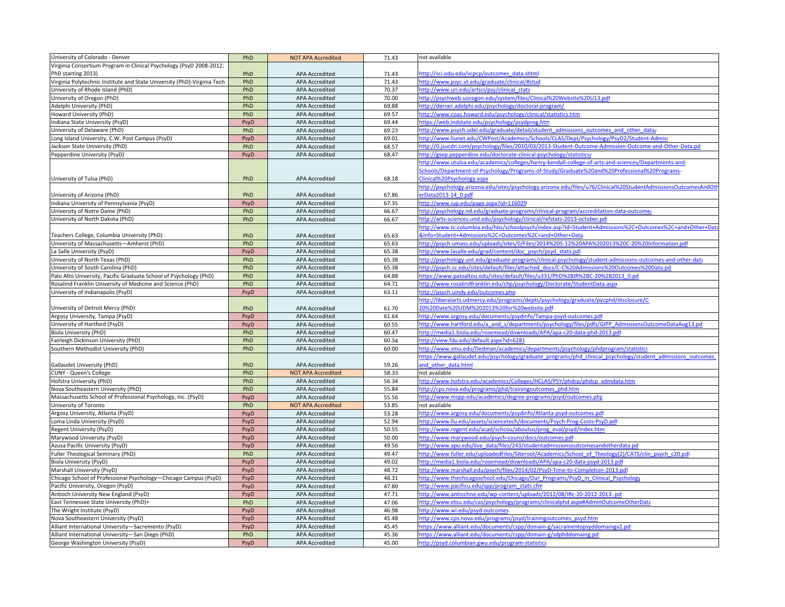| Virginia Consortium Program in Clinical Psychology (PsyD 2008-2012;<br>PhD<br>71.43<br>http://sci.odu.edu/vcpcp/outcomes_data.shtml<br>PhD starting 2013)<br><b>APA Accredited</b><br>Virginia Polytechnic Institute and State University (PhD)-Virginia Tech<br>PhD<br><b>APA Accredited</b><br>71.43<br>http://www.psyc.vt.edu/graduate/clinical/#stud<br>University of Rhode Island (PhD)<br>PhD<br>70.37<br>http://www.uri.edu/artsci/psy/clinical stats<br><b>APA Accredited</b><br>PhD<br>University of Oregon (PhD)<br><b>APA Accredited</b><br>70.00<br>http://psychweb.uoregon.edu/system/files/Clinical%20Website%20U13.pdf<br>PhD<br>Adelphi University (PhD)<br><b>APA Accredited</b><br>69.88<br>http://derner.adelphi.edu/psychology/doctoral-program/<br>PhD<br>69.57<br>Howard University (PhD)<br><b>APA Accredited</b><br>http://www.coas.howard.edu/psychology/clinical/statistics.htm<br>https://web.indstate.edu/psychology/psydprog.htm<br>Indiana State University (PsyD)<br>69.44<br>PsyD<br><b>APA Accredited</b><br>PhD<br>69.23<br>University of Delaware (PhD)<br><b>APA Accredited</b><br>http://www.psych.udel.edu/graduate/detail/student admissions outcomes and other data<br>http://www.liunet.edu/CWPost/Academics/Schools/CLAS/Dept/Psychology/PsyD2/Student-Admiss<br>Long Island University, C.W. Post Campus (PsyD)<br>PsyD<br><b>APA Accredited</b><br>69.01<br>PhD<br>68.57<br><b>APA Accredited</b><br>http://0.jsucdn.com/psychology/files/2010/03/2013-Student-Outcome-Admission-Outcome-and-Other-Data.pd<br>Jackson State University (PhD)<br>http://gsep.pepperdine.edu/doctorate-clinical-psychology/statistics/<br>Pepperdine University (PsyD)<br><b>APA Accredited</b><br>68.47<br>PsyD<br>http://www.utulsa.edu/academics/colleges/henry-kendall-college-of-arts-and-sciences/Departments-and-<br>Schools/Department-of-Psychology/Programs-of-Study/Graduate%20and%20Professional%20Programs-<br>PhD<br>68.18<br>Clinical%20Psychology.aspx<br>University of Tulsa (PhD)<br><b>APA Accredited</b><br>http://psychology.arizona.edu/sites/psychology.arizona.edu/files/u76/Clinical%20StudentAdmissionsOutcomesAndOt<br>University of Arizona (PhD)<br>erData2013-14 0.pdf<br>PhD<br><b>APA Accredited</b><br>67.86<br>PsyD<br><b>APA Accredited</b><br>67.35<br>http://www.iup.edu/page.aspx?id=116029<br>Indiana University of Pennsylvania (PsyD)<br>PhD<br><b>APA Accredited</b><br>66.67<br>Jniversity of Notre Dame (PhD)<br>http://psychology.nd.edu/graduate-programs/clinical-program/accreditation-data-outcome/<br>PhD<br><b>APA Accredited</b><br>66.67<br>http://arts-sciences.und.edu/psychology/clinical/refstats-2013-october.pd<br>University of North Dakota (PhD)<br>ttp://www.tc.columbia.edu/hbs/schoolpsych/index.asp?Id=Student+Admissions%2C+Outcomes%2C+and+Other+Dat<br>&Info=Student+Admissions%2C+Outcomes%2C+and+Other+Data<br>Teachers College, Columbia University (PhD)<br>PhD<br><b>APA Accredited</b><br>65.63<br>University of Massachusetts-Amherst (PhD)<br>PhD<br><b>APA Accredited</b><br>65.63<br>http://psych.umass.edu/uploads/sites/0/Files/2014%205-12%20APA%202013%20C-20%20Information.pdf<br><b>APA Accredited</b><br>65.38<br>ttp://www.lasalle.edu/grad/content/doc_psych/psyd_stats.pdf<br>La Salle University (PsyD)<br>PsyD<br>University of North Texas (PhD)<br>PhD<br><b>APA Accredited</b><br>65.38<br>http://psychology.unt.edu/graduate-programs/clinical-psychology/student-admissions-outcomes-and-other-data<br>University of South Carolina (PhD)<br>PhD<br><b>APA Accredited</b><br>65.38<br>http://psych.sc.edu/sites/default/files/attached_docs/C-C%20Admissions%20Outcomes%20Data.pd<br>Palo Alto University, Pacific Graduate School of Psychology (PhD)<br>PhD<br><b>APA Accredited</b><br>64.88<br>https://www.paloaltou.edu/sites/default/files/u331/PhD%2BIR%2BC-20%2B2013_0.pd<br>Rosalind Franklin University of Medicine and Science (PhD)<br>PhD<br><b>APA Accredited</b><br>64.71<br>ttp://www.rosalindfranklin.edu/chp/psychology/Doctorate/StudentData.asp><br>University of Indianapolis (PsyD)<br>PsyD<br><b>APA Accredited</b><br>63.11<br>http://psych.uindy.edu/outcomes.php<br>http://liberalarts.udmercy.edu/programs/depts/psychology/graduate/pycphd/disclosure/C-<br>PhD<br>20%20Date%20UDM%202013%20for%20website.pdf<br>University of Detroit Mercy (PhD)<br><b>APA Accredited</b><br>61.70<br>Argosy University, Tampa (PsyD)<br>PsyD<br><b>APA Accredited</b><br>61.64<br>http://www.argosy.edu/documents/psydinfo/Tampa-psyd-outcomes.pdf<br>University of Hartford (PsyD)<br>http://www.hartford.edu/a and s/departments/psychology/files/pdfs/GIPP AdmissionsOutcomeDataAug13.pd<br>PsyD<br><b>APA Accredited</b><br>60.55<br>PhD<br><b>APA Accredited</b><br>60.47<br>http://media1.biola.edu/rosemead/downloads/APA/apa-c20-data-phd-2013.pdf<br>Biola University (PhD)<br>PhD<br><b>APA Accredited</b><br>60.34<br>http://view.fdu.edu/default.aspx?id=6281<br>Fairleigh Dickinson University (PhD)<br>Southern Methodist University (PhD)<br>PhD<br><b>APA Accredited</b><br>60.00<br>http://www.smu.edu/Dedman/academics/departments/psychology/phdprogram/statistics<br>https://www.gallaudet.edu/psychology/graduate programs/phd clinical psychology/student admissions outcomes<br>and other data.html<br>Gallaudet University (PhD)<br>PhD<br><b>APA Accredited</b><br>59.26<br>PhD<br>58.33<br><b>CUNY - Queen's College</b><br><b>NOT APA Accredited</b><br>not available<br>PhD<br>56.34<br>http://www.hofstra.edu/academics/Colleges/HCLAS/PSY/phdcp/phdcp_admdata.htm<br>Hofstra University (PhD)<br><b>APA Accredited</b><br>http://cps.nova.edu/programs/phd/trainingoutcomes_phd.htm<br>Nova Southeastern University (PhD)<br>PhD<br><b>APA Accredited</b><br>55.84<br>http://www.mspp.edu/academics/degree-programs/psyd/outcomes.php<br>Massachusetts School of Professional Psychology, Inc. (PsyD)<br>PsyD<br><b>APA Accredited</b><br>55.56<br>PhD<br>53.85<br>University of Toronto<br><b>NOT APA Accredited</b><br>not available<br>53.28<br>PsyD<br>APA Accredited<br>http://www.argosy.edu/documents/psydinfo/Atlanta-psyd-outcomes.pdf<br>Argosy University, Atlanta (PsyD)<br>52.94<br>ttp://www.llu.edu/assets/sciencetech/documents/Psych-Prog-Costs-PsyD.pdf<br>Loma Linda University (PsyD)<br>PsyD<br><b>APA Accredited</b><br>Regent University (PsyD)<br>http://www.regent.edu/acad/schcou/aboutus/prog_eval/psyd/index.htm<br><b>APA Accredited</b><br>50.55<br>PsyD<br>Marywood University (PsyD)<br>PsyD<br><b>APA Accredited</b><br>50.00<br>http://www.marywood.edu/psych-couns/docs/outcomes.pdf<br>http://www.apu.edu/live_data/files/243/studentadmissionsoutcomesandotherdata.pd<br>Azusa Pacific University (PsyD)<br>PsyD<br><b>APA Accredited</b><br>49.56<br>PhD<br><b>APA Accredited</b><br>49.47<br>http://www.fuller.edu/uploadedFiles/Siteroot/Academics/School of Theology(2)/CATS/clin psych c20.pdf<br>Fuller Theological Seminary (PhD)<br><b>Biola University (PsyD)</b><br>PsyD<br><b>APA Accredited</b><br>49.02<br>http://media1.biola.edu/rosemead/downloads/APA/apa-c20-data-psyd-2013.pdf<br>48.72<br>http://www.marshall.edu/psych/files/2014/02/PsyD-Time-to-Completion-2013.pdf<br>Marshall University (PsyD)<br>PsyD<br><b>APA Accredited</b><br>48.31<br>Chicago School of Professional Psychology-Chicago Campus (PsyD)<br>PsyD<br><b>APA Accredited</b><br>http://www.thechicagoschool.edu/Chicago/Our Programs/PsyD in Clinical Psychology<br>47.80<br>PsyD<br><b>APA Accredited</b><br>ttp://www.pacificu.edu/spp/program_stats.cfm<br>Pacific University, Oregon (PsyD)<br>http://www.antiochne.edu/wp-content/uploads/2012/08/IRc-20-2012-2013-.pd<br>Antioch University New England (PsyD)<br><b>APA Accredited</b><br>47.71<br>PsyD<br>PhD<br>47.06<br>ttp://www.etsu.edu/cas/psychology/programs/clinicalphd.aspx#AdminOutcomeOtherData<br>East Tennessee State University (PhD)+<br><b>APA Accredited</b><br><b>APA Accredited</b><br>46.98<br>The Wright Institute (PsyD)<br>PsyD<br>http://www.wi.edu/psyd-outcomes<br>PsyD<br><b>APA Accredited</b><br>45.48<br>http://www.cps.nova.edu/programs/psyd/trainingoutcomes_psyd.htm<br>Nova Southeastern University (PsyD)<br>https://www.alliant.edu/documents/cspp/domain-g/sacramentopsyddomaingv2.pd<br>Alliant International University-Sacremento (PsyD)<br><b>APA Accredited</b><br>45.45<br>PsyD<br>Alliant International University-San Diego (PhD)<br>PhD<br><b>APA Accredited</b><br>45.36<br>https://www.alliant.edu/documents/cspp/domain-g/sdphddomaing.pdl<br>45.00<br>George Washington University (PsyD)<br>PsyD<br><b>APA Accredited</b><br>http://psyd.columbian.gwu.edu/program-statistics | University of Colorado - Denver | PhD | <b>NOT APA Accredited</b> | 71.43 | not available |
|--------------------------------------------------------------------------------------------------------------------------------------------------------------------------------------------------------------------------------------------------------------------------------------------------------------------------------------------------------------------------------------------------------------------------------------------------------------------------------------------------------------------------------------------------------------------------------------------------------------------------------------------------------------------------------------------------------------------------------------------------------------------------------------------------------------------------------------------------------------------------------------------------------------------------------------------------------------------------------------------------------------------------------------------------------------------------------------------------------------------------------------------------------------------------------------------------------------------------------------------------------------------------------------------------------------------------------------------------------------------------------------------------------------------------------------------------------------------------------------------------------------------------------------------------------------------------------------------------------------------------------------------------------------------------------------------------------------------------------------------------------------------------------------------------------------------------------------------------------------------------------------------------------------------------------------------------------------------------------------------------------------------------------------------------------------------------------------------------------------------------------------------------------------------------------------------------------------------------------------------------------------------------------------------------------------------------------------------------------------------------------------------------------------------------------------------------------------------------------------------------------------------------------------------------------------------------------------------------------------------------------------------------------------------------------------------------------------------------------------------------------------------------------------------------------------------------------------------------------------------------------------------------------------------------------------------------------------------------------------------------------------------------------------------------------------------------------------------------------------------------------------------------------------------------------------------------------------------------------------------------------------------------------------------------------------------------------------------------------------------------------------------------------------------------------------------------------------------------------------------------------------------------------------------------------------------------------------------------------------------------------------------------------------------------------------------------------------------------------------------------------------------------------------------------------------------------------------------------------------------------------------------------------------------------------------------------------------------------------------------------------------------------------------------------------------------------------------------------------------------------------------------------------------------------------------------------------------------------------------------------------------------------------------------------------------------------------------------------------------------------------------------------------------------------------------------------------------------------------------------------------------------------------------------------------------------------------------------------------------------------------------------------------------------------------------------------------------------------------------------------------------------------------------------------------------------------------------------------------------------------------------------------------------------------------------------------------------------------------------------------------------------------------------------------------------------------------------------------------------------------------------------------------------------------------------------------------------------------------------------------------------------------------------------------------------------------------------------------------------------------------------------------------------------------------------------------------------------------------------------------------------------------------------------------------------------------------------------------------------------------------------------------------------------------------------------------------------------------------------------------------------------------------------------------------------------------------------------------------------------------------------------------------------------------------------------------------------------------------------------------------------------------------------------------------------------------------------------------------------------------------------------------------------------------------------------------------------------------------------------------------------------------------------------------------------------------------------------------------------------------------------------------------------------------------------------------------------------------------------------------------------------------------------------------------------------------------------------------------------------------------------------------------------------------------------------------------------------------------------------------------------------------------------------------------------------------------------------------------------------------------------------------------------------------------------------------------------------------------------------------------------------------------------------------------------------------------------------------------------------------------------------------------------------------------------------------------------------------------------------------------------------------------------------------------------------------------------------------------------------------------------------------------------------------------------------------------------------------------------------------------------------------------------------------------------------------------------------------------------------------------------------------------------------------------------------------------------------------------------------------------------------------------------------------------------------------------------------------------------------------------------------------------------------------------------------------------------------------------------------------------------------------------------------------------------------------------------------------------------------------------------------------------------------------------------------------------------------------------------------------------------------------------------------------------------------------------------------------------------------------------------------------------------------------------------------------------------------------------------------------------------------------------------------------------------------------------------------------------------------------------------------------------------------------------------------------------------------------------------------------------------------------------------------------|---------------------------------|-----|---------------------------|-------|---------------|
|                                                                                                                                                                                                                                                                                                                                                                                                                                                                                                                                                                                                                                                                                                                                                                                                                                                                                                                                                                                                                                                                                                                                                                                                                                                                                                                                                                                                                                                                                                                                                                                                                                                                                                                                                                                                                                                                                                                                                                                                                                                                                                                                                                                                                                                                                                                                                                                                                                                                                                                                                                                                                                                                                                                                                                                                                                                                                                                                                                                                                                                                                                                                                                                                                                                                                                                                                                                                                                                                                                                                                                                                                                                                                                                                                                                                                                                                                                                                                                                                                                                                                                                                                                                                                                                                                                                                                                                                                                                                                                                                                                                                                                                                                                                                                                                                                                                                                                                                                                                                                                                                                                                                                                                                                                                                                                                                                                                                                                                                                                                                                                                                                                                                                                                                                                                                                                                                                                                                                                                                                                                                                                                                                                                                                                                                                                                                                                                                                                                                                                                                                                                                                                                                                                                                                                                                                                                                                                                                                                                                                                                                                                                                                                                                                                                                                                                                                                                                                                                                                                                                                                                                                                                                                                                                                                                                                                                                                                                                                                                                                                                                                                                                                                                                                                                                                                                                                                                                                                                                                                                                                                                                                                                                                                                                                                                                  |                                 |     |                           |       |               |
|                                                                                                                                                                                                                                                                                                                                                                                                                                                                                                                                                                                                                                                                                                                                                                                                                                                                                                                                                                                                                                                                                                                                                                                                                                                                                                                                                                                                                                                                                                                                                                                                                                                                                                                                                                                                                                                                                                                                                                                                                                                                                                                                                                                                                                                                                                                                                                                                                                                                                                                                                                                                                                                                                                                                                                                                                                                                                                                                                                                                                                                                                                                                                                                                                                                                                                                                                                                                                                                                                                                                                                                                                                                                                                                                                                                                                                                                                                                                                                                                                                                                                                                                                                                                                                                                                                                                                                                                                                                                                                                                                                                                                                                                                                                                                                                                                                                                                                                                                                                                                                                                                                                                                                                                                                                                                                                                                                                                                                                                                                                                                                                                                                                                                                                                                                                                                                                                                                                                                                                                                                                                                                                                                                                                                                                                                                                                                                                                                                                                                                                                                                                                                                                                                                                                                                                                                                                                                                                                                                                                                                                                                                                                                                                                                                                                                                                                                                                                                                                                                                                                                                                                                                                                                                                                                                                                                                                                                                                                                                                                                                                                                                                                                                                                                                                                                                                                                                                                                                                                                                                                                                                                                                                                                                                                                                                                  |                                 |     |                           |       |               |
|                                                                                                                                                                                                                                                                                                                                                                                                                                                                                                                                                                                                                                                                                                                                                                                                                                                                                                                                                                                                                                                                                                                                                                                                                                                                                                                                                                                                                                                                                                                                                                                                                                                                                                                                                                                                                                                                                                                                                                                                                                                                                                                                                                                                                                                                                                                                                                                                                                                                                                                                                                                                                                                                                                                                                                                                                                                                                                                                                                                                                                                                                                                                                                                                                                                                                                                                                                                                                                                                                                                                                                                                                                                                                                                                                                                                                                                                                                                                                                                                                                                                                                                                                                                                                                                                                                                                                                                                                                                                                                                                                                                                                                                                                                                                                                                                                                                                                                                                                                                                                                                                                                                                                                                                                                                                                                                                                                                                                                                                                                                                                                                                                                                                                                                                                                                                                                                                                                                                                                                                                                                                                                                                                                                                                                                                                                                                                                                                                                                                                                                                                                                                                                                                                                                                                                                                                                                                                                                                                                                                                                                                                                                                                                                                                                                                                                                                                                                                                                                                                                                                                                                                                                                                                                                                                                                                                                                                                                                                                                                                                                                                                                                                                                                                                                                                                                                                                                                                                                                                                                                                                                                                                                                                                                                                                                                                  |                                 |     |                           |       |               |
|                                                                                                                                                                                                                                                                                                                                                                                                                                                                                                                                                                                                                                                                                                                                                                                                                                                                                                                                                                                                                                                                                                                                                                                                                                                                                                                                                                                                                                                                                                                                                                                                                                                                                                                                                                                                                                                                                                                                                                                                                                                                                                                                                                                                                                                                                                                                                                                                                                                                                                                                                                                                                                                                                                                                                                                                                                                                                                                                                                                                                                                                                                                                                                                                                                                                                                                                                                                                                                                                                                                                                                                                                                                                                                                                                                                                                                                                                                                                                                                                                                                                                                                                                                                                                                                                                                                                                                                                                                                                                                                                                                                                                                                                                                                                                                                                                                                                                                                                                                                                                                                                                                                                                                                                                                                                                                                                                                                                                                                                                                                                                                                                                                                                                                                                                                                                                                                                                                                                                                                                                                                                                                                                                                                                                                                                                                                                                                                                                                                                                                                                                                                                                                                                                                                                                                                                                                                                                                                                                                                                                                                                                                                                                                                                                                                                                                                                                                                                                                                                                                                                                                                                                                                                                                                                                                                                                                                                                                                                                                                                                                                                                                                                                                                                                                                                                                                                                                                                                                                                                                                                                                                                                                                                                                                                                                                                  |                                 |     |                           |       |               |
|                                                                                                                                                                                                                                                                                                                                                                                                                                                                                                                                                                                                                                                                                                                                                                                                                                                                                                                                                                                                                                                                                                                                                                                                                                                                                                                                                                                                                                                                                                                                                                                                                                                                                                                                                                                                                                                                                                                                                                                                                                                                                                                                                                                                                                                                                                                                                                                                                                                                                                                                                                                                                                                                                                                                                                                                                                                                                                                                                                                                                                                                                                                                                                                                                                                                                                                                                                                                                                                                                                                                                                                                                                                                                                                                                                                                                                                                                                                                                                                                                                                                                                                                                                                                                                                                                                                                                                                                                                                                                                                                                                                                                                                                                                                                                                                                                                                                                                                                                                                                                                                                                                                                                                                                                                                                                                                                                                                                                                                                                                                                                                                                                                                                                                                                                                                                                                                                                                                                                                                                                                                                                                                                                                                                                                                                                                                                                                                                                                                                                                                                                                                                                                                                                                                                                                                                                                                                                                                                                                                                                                                                                                                                                                                                                                                                                                                                                                                                                                                                                                                                                                                                                                                                                                                                                                                                                                                                                                                                                                                                                                                                                                                                                                                                                                                                                                                                                                                                                                                                                                                                                                                                                                                                                                                                                                                                  |                                 |     |                           |       |               |
|                                                                                                                                                                                                                                                                                                                                                                                                                                                                                                                                                                                                                                                                                                                                                                                                                                                                                                                                                                                                                                                                                                                                                                                                                                                                                                                                                                                                                                                                                                                                                                                                                                                                                                                                                                                                                                                                                                                                                                                                                                                                                                                                                                                                                                                                                                                                                                                                                                                                                                                                                                                                                                                                                                                                                                                                                                                                                                                                                                                                                                                                                                                                                                                                                                                                                                                                                                                                                                                                                                                                                                                                                                                                                                                                                                                                                                                                                                                                                                                                                                                                                                                                                                                                                                                                                                                                                                                                                                                                                                                                                                                                                                                                                                                                                                                                                                                                                                                                                                                                                                                                                                                                                                                                                                                                                                                                                                                                                                                                                                                                                                                                                                                                                                                                                                                                                                                                                                                                                                                                                                                                                                                                                                                                                                                                                                                                                                                                                                                                                                                                                                                                                                                                                                                                                                                                                                                                                                                                                                                                                                                                                                                                                                                                                                                                                                                                                                                                                                                                                                                                                                                                                                                                                                                                                                                                                                                                                                                                                                                                                                                                                                                                                                                                                                                                                                                                                                                                                                                                                                                                                                                                                                                                                                                                                                                                  |                                 |     |                           |       |               |
|                                                                                                                                                                                                                                                                                                                                                                                                                                                                                                                                                                                                                                                                                                                                                                                                                                                                                                                                                                                                                                                                                                                                                                                                                                                                                                                                                                                                                                                                                                                                                                                                                                                                                                                                                                                                                                                                                                                                                                                                                                                                                                                                                                                                                                                                                                                                                                                                                                                                                                                                                                                                                                                                                                                                                                                                                                                                                                                                                                                                                                                                                                                                                                                                                                                                                                                                                                                                                                                                                                                                                                                                                                                                                                                                                                                                                                                                                                                                                                                                                                                                                                                                                                                                                                                                                                                                                                                                                                                                                                                                                                                                                                                                                                                                                                                                                                                                                                                                                                                                                                                                                                                                                                                                                                                                                                                                                                                                                                                                                                                                                                                                                                                                                                                                                                                                                                                                                                                                                                                                                                                                                                                                                                                                                                                                                                                                                                                                                                                                                                                                                                                                                                                                                                                                                                                                                                                                                                                                                                                                                                                                                                                                                                                                                                                                                                                                                                                                                                                                                                                                                                                                                                                                                                                                                                                                                                                                                                                                                                                                                                                                                                                                                                                                                                                                                                                                                                                                                                                                                                                                                                                                                                                                                                                                                                                                  |                                 |     |                           |       |               |
|                                                                                                                                                                                                                                                                                                                                                                                                                                                                                                                                                                                                                                                                                                                                                                                                                                                                                                                                                                                                                                                                                                                                                                                                                                                                                                                                                                                                                                                                                                                                                                                                                                                                                                                                                                                                                                                                                                                                                                                                                                                                                                                                                                                                                                                                                                                                                                                                                                                                                                                                                                                                                                                                                                                                                                                                                                                                                                                                                                                                                                                                                                                                                                                                                                                                                                                                                                                                                                                                                                                                                                                                                                                                                                                                                                                                                                                                                                                                                                                                                                                                                                                                                                                                                                                                                                                                                                                                                                                                                                                                                                                                                                                                                                                                                                                                                                                                                                                                                                                                                                                                                                                                                                                                                                                                                                                                                                                                                                                                                                                                                                                                                                                                                                                                                                                                                                                                                                                                                                                                                                                                                                                                                                                                                                                                                                                                                                                                                                                                                                                                                                                                                                                                                                                                                                                                                                                                                                                                                                                                                                                                                                                                                                                                                                                                                                                                                                                                                                                                                                                                                                                                                                                                                                                                                                                                                                                                                                                                                                                                                                                                                                                                                                                                                                                                                                                                                                                                                                                                                                                                                                                                                                                                                                                                                                                                  |                                 |     |                           |       |               |
|                                                                                                                                                                                                                                                                                                                                                                                                                                                                                                                                                                                                                                                                                                                                                                                                                                                                                                                                                                                                                                                                                                                                                                                                                                                                                                                                                                                                                                                                                                                                                                                                                                                                                                                                                                                                                                                                                                                                                                                                                                                                                                                                                                                                                                                                                                                                                                                                                                                                                                                                                                                                                                                                                                                                                                                                                                                                                                                                                                                                                                                                                                                                                                                                                                                                                                                                                                                                                                                                                                                                                                                                                                                                                                                                                                                                                                                                                                                                                                                                                                                                                                                                                                                                                                                                                                                                                                                                                                                                                                                                                                                                                                                                                                                                                                                                                                                                                                                                                                                                                                                                                                                                                                                                                                                                                                                                                                                                                                                                                                                                                                                                                                                                                                                                                                                                                                                                                                                                                                                                                                                                                                                                                                                                                                                                                                                                                                                                                                                                                                                                                                                                                                                                                                                                                                                                                                                                                                                                                                                                                                                                                                                                                                                                                                                                                                                                                                                                                                                                                                                                                                                                                                                                                                                                                                                                                                                                                                                                                                                                                                                                                                                                                                                                                                                                                                                                                                                                                                                                                                                                                                                                                                                                                                                                                                                                  |                                 |     |                           |       |               |
|                                                                                                                                                                                                                                                                                                                                                                                                                                                                                                                                                                                                                                                                                                                                                                                                                                                                                                                                                                                                                                                                                                                                                                                                                                                                                                                                                                                                                                                                                                                                                                                                                                                                                                                                                                                                                                                                                                                                                                                                                                                                                                                                                                                                                                                                                                                                                                                                                                                                                                                                                                                                                                                                                                                                                                                                                                                                                                                                                                                                                                                                                                                                                                                                                                                                                                                                                                                                                                                                                                                                                                                                                                                                                                                                                                                                                                                                                                                                                                                                                                                                                                                                                                                                                                                                                                                                                                                                                                                                                                                                                                                                                                                                                                                                                                                                                                                                                                                                                                                                                                                                                                                                                                                                                                                                                                                                                                                                                                                                                                                                                                                                                                                                                                                                                                                                                                                                                                                                                                                                                                                                                                                                                                                                                                                                                                                                                                                                                                                                                                                                                                                                                                                                                                                                                                                                                                                                                                                                                                                                                                                                                                                                                                                                                                                                                                                                                                                                                                                                                                                                                                                                                                                                                                                                                                                                                                                                                                                                                                                                                                                                                                                                                                                                                                                                                                                                                                                                                                                                                                                                                                                                                                                                                                                                                                                                  |                                 |     |                           |       |               |
|                                                                                                                                                                                                                                                                                                                                                                                                                                                                                                                                                                                                                                                                                                                                                                                                                                                                                                                                                                                                                                                                                                                                                                                                                                                                                                                                                                                                                                                                                                                                                                                                                                                                                                                                                                                                                                                                                                                                                                                                                                                                                                                                                                                                                                                                                                                                                                                                                                                                                                                                                                                                                                                                                                                                                                                                                                                                                                                                                                                                                                                                                                                                                                                                                                                                                                                                                                                                                                                                                                                                                                                                                                                                                                                                                                                                                                                                                                                                                                                                                                                                                                                                                                                                                                                                                                                                                                                                                                                                                                                                                                                                                                                                                                                                                                                                                                                                                                                                                                                                                                                                                                                                                                                                                                                                                                                                                                                                                                                                                                                                                                                                                                                                                                                                                                                                                                                                                                                                                                                                                                                                                                                                                                                                                                                                                                                                                                                                                                                                                                                                                                                                                                                                                                                                                                                                                                                                                                                                                                                                                                                                                                                                                                                                                                                                                                                                                                                                                                                                                                                                                                                                                                                                                                                                                                                                                                                                                                                                                                                                                                                                                                                                                                                                                                                                                                                                                                                                                                                                                                                                                                                                                                                                                                                                                                                                  |                                 |     |                           |       |               |
|                                                                                                                                                                                                                                                                                                                                                                                                                                                                                                                                                                                                                                                                                                                                                                                                                                                                                                                                                                                                                                                                                                                                                                                                                                                                                                                                                                                                                                                                                                                                                                                                                                                                                                                                                                                                                                                                                                                                                                                                                                                                                                                                                                                                                                                                                                                                                                                                                                                                                                                                                                                                                                                                                                                                                                                                                                                                                                                                                                                                                                                                                                                                                                                                                                                                                                                                                                                                                                                                                                                                                                                                                                                                                                                                                                                                                                                                                                                                                                                                                                                                                                                                                                                                                                                                                                                                                                                                                                                                                                                                                                                                                                                                                                                                                                                                                                                                                                                                                                                                                                                                                                                                                                                                                                                                                                                                                                                                                                                                                                                                                                                                                                                                                                                                                                                                                                                                                                                                                                                                                                                                                                                                                                                                                                                                                                                                                                                                                                                                                                                                                                                                                                                                                                                                                                                                                                                                                                                                                                                                                                                                                                                                                                                                                                                                                                                                                                                                                                                                                                                                                                                                                                                                                                                                                                                                                                                                                                                                                                                                                                                                                                                                                                                                                                                                                                                                                                                                                                                                                                                                                                                                                                                                                                                                                                                                  |                                 |     |                           |       |               |
|                                                                                                                                                                                                                                                                                                                                                                                                                                                                                                                                                                                                                                                                                                                                                                                                                                                                                                                                                                                                                                                                                                                                                                                                                                                                                                                                                                                                                                                                                                                                                                                                                                                                                                                                                                                                                                                                                                                                                                                                                                                                                                                                                                                                                                                                                                                                                                                                                                                                                                                                                                                                                                                                                                                                                                                                                                                                                                                                                                                                                                                                                                                                                                                                                                                                                                                                                                                                                                                                                                                                                                                                                                                                                                                                                                                                                                                                                                                                                                                                                                                                                                                                                                                                                                                                                                                                                                                                                                                                                                                                                                                                                                                                                                                                                                                                                                                                                                                                                                                                                                                                                                                                                                                                                                                                                                                                                                                                                                                                                                                                                                                                                                                                                                                                                                                                                                                                                                                                                                                                                                                                                                                                                                                                                                                                                                                                                                                                                                                                                                                                                                                                                                                                                                                                                                                                                                                                                                                                                                                                                                                                                                                                                                                                                                                                                                                                                                                                                                                                                                                                                                                                                                                                                                                                                                                                                                                                                                                                                                                                                                                                                                                                                                                                                                                                                                                                                                                                                                                                                                                                                                                                                                                                                                                                                                                                  |                                 |     |                           |       |               |
|                                                                                                                                                                                                                                                                                                                                                                                                                                                                                                                                                                                                                                                                                                                                                                                                                                                                                                                                                                                                                                                                                                                                                                                                                                                                                                                                                                                                                                                                                                                                                                                                                                                                                                                                                                                                                                                                                                                                                                                                                                                                                                                                                                                                                                                                                                                                                                                                                                                                                                                                                                                                                                                                                                                                                                                                                                                                                                                                                                                                                                                                                                                                                                                                                                                                                                                                                                                                                                                                                                                                                                                                                                                                                                                                                                                                                                                                                                                                                                                                                                                                                                                                                                                                                                                                                                                                                                                                                                                                                                                                                                                                                                                                                                                                                                                                                                                                                                                                                                                                                                                                                                                                                                                                                                                                                                                                                                                                                                                                                                                                                                                                                                                                                                                                                                                                                                                                                                                                                                                                                                                                                                                                                                                                                                                                                                                                                                                                                                                                                                                                                                                                                                                                                                                                                                                                                                                                                                                                                                                                                                                                                                                                                                                                                                                                                                                                                                                                                                                                                                                                                                                                                                                                                                                                                                                                                                                                                                                                                                                                                                                                                                                                                                                                                                                                                                                                                                                                                                                                                                                                                                                                                                                                                                                                                                                                  |                                 |     |                           |       |               |
|                                                                                                                                                                                                                                                                                                                                                                                                                                                                                                                                                                                                                                                                                                                                                                                                                                                                                                                                                                                                                                                                                                                                                                                                                                                                                                                                                                                                                                                                                                                                                                                                                                                                                                                                                                                                                                                                                                                                                                                                                                                                                                                                                                                                                                                                                                                                                                                                                                                                                                                                                                                                                                                                                                                                                                                                                                                                                                                                                                                                                                                                                                                                                                                                                                                                                                                                                                                                                                                                                                                                                                                                                                                                                                                                                                                                                                                                                                                                                                                                                                                                                                                                                                                                                                                                                                                                                                                                                                                                                                                                                                                                                                                                                                                                                                                                                                                                                                                                                                                                                                                                                                                                                                                                                                                                                                                                                                                                                                                                                                                                                                                                                                                                                                                                                                                                                                                                                                                                                                                                                                                                                                                                                                                                                                                                                                                                                                                                                                                                                                                                                                                                                                                                                                                                                                                                                                                                                                                                                                                                                                                                                                                                                                                                                                                                                                                                                                                                                                                                                                                                                                                                                                                                                                                                                                                                                                                                                                                                                                                                                                                                                                                                                                                                                                                                                                                                                                                                                                                                                                                                                                                                                                                                                                                                                                                                  |                                 |     |                           |       |               |
|                                                                                                                                                                                                                                                                                                                                                                                                                                                                                                                                                                                                                                                                                                                                                                                                                                                                                                                                                                                                                                                                                                                                                                                                                                                                                                                                                                                                                                                                                                                                                                                                                                                                                                                                                                                                                                                                                                                                                                                                                                                                                                                                                                                                                                                                                                                                                                                                                                                                                                                                                                                                                                                                                                                                                                                                                                                                                                                                                                                                                                                                                                                                                                                                                                                                                                                                                                                                                                                                                                                                                                                                                                                                                                                                                                                                                                                                                                                                                                                                                                                                                                                                                                                                                                                                                                                                                                                                                                                                                                                                                                                                                                                                                                                                                                                                                                                                                                                                                                                                                                                                                                                                                                                                                                                                                                                                                                                                                                                                                                                                                                                                                                                                                                                                                                                                                                                                                                                                                                                                                                                                                                                                                                                                                                                                                                                                                                                                                                                                                                                                                                                                                                                                                                                                                                                                                                                                                                                                                                                                                                                                                                                                                                                                                                                                                                                                                                                                                                                                                                                                                                                                                                                                                                                                                                                                                                                                                                                                                                                                                                                                                                                                                                                                                                                                                                                                                                                                                                                                                                                                                                                                                                                                                                                                                                                                  |                                 |     |                           |       |               |
|                                                                                                                                                                                                                                                                                                                                                                                                                                                                                                                                                                                                                                                                                                                                                                                                                                                                                                                                                                                                                                                                                                                                                                                                                                                                                                                                                                                                                                                                                                                                                                                                                                                                                                                                                                                                                                                                                                                                                                                                                                                                                                                                                                                                                                                                                                                                                                                                                                                                                                                                                                                                                                                                                                                                                                                                                                                                                                                                                                                                                                                                                                                                                                                                                                                                                                                                                                                                                                                                                                                                                                                                                                                                                                                                                                                                                                                                                                                                                                                                                                                                                                                                                                                                                                                                                                                                                                                                                                                                                                                                                                                                                                                                                                                                                                                                                                                                                                                                                                                                                                                                                                                                                                                                                                                                                                                                                                                                                                                                                                                                                                                                                                                                                                                                                                                                                                                                                                                                                                                                                                                                                                                                                                                                                                                                                                                                                                                                                                                                                                                                                                                                                                                                                                                                                                                                                                                                                                                                                                                                                                                                                                                                                                                                                                                                                                                                                                                                                                                                                                                                                                                                                                                                                                                                                                                                                                                                                                                                                                                                                                                                                                                                                                                                                                                                                                                                                                                                                                                                                                                                                                                                                                                                                                                                                                                                  |                                 |     |                           |       |               |
|                                                                                                                                                                                                                                                                                                                                                                                                                                                                                                                                                                                                                                                                                                                                                                                                                                                                                                                                                                                                                                                                                                                                                                                                                                                                                                                                                                                                                                                                                                                                                                                                                                                                                                                                                                                                                                                                                                                                                                                                                                                                                                                                                                                                                                                                                                                                                                                                                                                                                                                                                                                                                                                                                                                                                                                                                                                                                                                                                                                                                                                                                                                                                                                                                                                                                                                                                                                                                                                                                                                                                                                                                                                                                                                                                                                                                                                                                                                                                                                                                                                                                                                                                                                                                                                                                                                                                                                                                                                                                                                                                                                                                                                                                                                                                                                                                                                                                                                                                                                                                                                                                                                                                                                                                                                                                                                                                                                                                                                                                                                                                                                                                                                                                                                                                                                                                                                                                                                                                                                                                                                                                                                                                                                                                                                                                                                                                                                                                                                                                                                                                                                                                                                                                                                                                                                                                                                                                                                                                                                                                                                                                                                                                                                                                                                                                                                                                                                                                                                                                                                                                                                                                                                                                                                                                                                                                                                                                                                                                                                                                                                                                                                                                                                                                                                                                                                                                                                                                                                                                                                                                                                                                                                                                                                                                                                                  |                                 |     |                           |       |               |
|                                                                                                                                                                                                                                                                                                                                                                                                                                                                                                                                                                                                                                                                                                                                                                                                                                                                                                                                                                                                                                                                                                                                                                                                                                                                                                                                                                                                                                                                                                                                                                                                                                                                                                                                                                                                                                                                                                                                                                                                                                                                                                                                                                                                                                                                                                                                                                                                                                                                                                                                                                                                                                                                                                                                                                                                                                                                                                                                                                                                                                                                                                                                                                                                                                                                                                                                                                                                                                                                                                                                                                                                                                                                                                                                                                                                                                                                                                                                                                                                                                                                                                                                                                                                                                                                                                                                                                                                                                                                                                                                                                                                                                                                                                                                                                                                                                                                                                                                                                                                                                                                                                                                                                                                                                                                                                                                                                                                                                                                                                                                                                                                                                                                                                                                                                                                                                                                                                                                                                                                                                                                                                                                                                                                                                                                                                                                                                                                                                                                                                                                                                                                                                                                                                                                                                                                                                                                                                                                                                                                                                                                                                                                                                                                                                                                                                                                                                                                                                                                                                                                                                                                                                                                                                                                                                                                                                                                                                                                                                                                                                                                                                                                                                                                                                                                                                                                                                                                                                                                                                                                                                                                                                                                                                                                                                                                  |                                 |     |                           |       |               |
|                                                                                                                                                                                                                                                                                                                                                                                                                                                                                                                                                                                                                                                                                                                                                                                                                                                                                                                                                                                                                                                                                                                                                                                                                                                                                                                                                                                                                                                                                                                                                                                                                                                                                                                                                                                                                                                                                                                                                                                                                                                                                                                                                                                                                                                                                                                                                                                                                                                                                                                                                                                                                                                                                                                                                                                                                                                                                                                                                                                                                                                                                                                                                                                                                                                                                                                                                                                                                                                                                                                                                                                                                                                                                                                                                                                                                                                                                                                                                                                                                                                                                                                                                                                                                                                                                                                                                                                                                                                                                                                                                                                                                                                                                                                                                                                                                                                                                                                                                                                                                                                                                                                                                                                                                                                                                                                                                                                                                                                                                                                                                                                                                                                                                                                                                                                                                                                                                                                                                                                                                                                                                                                                                                                                                                                                                                                                                                                                                                                                                                                                                                                                                                                                                                                                                                                                                                                                                                                                                                                                                                                                                                                                                                                                                                                                                                                                                                                                                                                                                                                                                                                                                                                                                                                                                                                                                                                                                                                                                                                                                                                                                                                                                                                                                                                                                                                                                                                                                                                                                                                                                                                                                                                                                                                                                                                                  |                                 |     |                           |       |               |
|                                                                                                                                                                                                                                                                                                                                                                                                                                                                                                                                                                                                                                                                                                                                                                                                                                                                                                                                                                                                                                                                                                                                                                                                                                                                                                                                                                                                                                                                                                                                                                                                                                                                                                                                                                                                                                                                                                                                                                                                                                                                                                                                                                                                                                                                                                                                                                                                                                                                                                                                                                                                                                                                                                                                                                                                                                                                                                                                                                                                                                                                                                                                                                                                                                                                                                                                                                                                                                                                                                                                                                                                                                                                                                                                                                                                                                                                                                                                                                                                                                                                                                                                                                                                                                                                                                                                                                                                                                                                                                                                                                                                                                                                                                                                                                                                                                                                                                                                                                                                                                                                                                                                                                                                                                                                                                                                                                                                                                                                                                                                                                                                                                                                                                                                                                                                                                                                                                                                                                                                                                                                                                                                                                                                                                                                                                                                                                                                                                                                                                                                                                                                                                                                                                                                                                                                                                                                                                                                                                                                                                                                                                                                                                                                                                                                                                                                                                                                                                                                                                                                                                                                                                                                                                                                                                                                                                                                                                                                                                                                                                                                                                                                                                                                                                                                                                                                                                                                                                                                                                                                                                                                                                                                                                                                                                                                  |                                 |     |                           |       |               |
|                                                                                                                                                                                                                                                                                                                                                                                                                                                                                                                                                                                                                                                                                                                                                                                                                                                                                                                                                                                                                                                                                                                                                                                                                                                                                                                                                                                                                                                                                                                                                                                                                                                                                                                                                                                                                                                                                                                                                                                                                                                                                                                                                                                                                                                                                                                                                                                                                                                                                                                                                                                                                                                                                                                                                                                                                                                                                                                                                                                                                                                                                                                                                                                                                                                                                                                                                                                                                                                                                                                                                                                                                                                                                                                                                                                                                                                                                                                                                                                                                                                                                                                                                                                                                                                                                                                                                                                                                                                                                                                                                                                                                                                                                                                                                                                                                                                                                                                                                                                                                                                                                                                                                                                                                                                                                                                                                                                                                                                                                                                                                                                                                                                                                                                                                                                                                                                                                                                                                                                                                                                                                                                                                                                                                                                                                                                                                                                                                                                                                                                                                                                                                                                                                                                                                                                                                                                                                                                                                                                                                                                                                                                                                                                                                                                                                                                                                                                                                                                                                                                                                                                                                                                                                                                                                                                                                                                                                                                                                                                                                                                                                                                                                                                                                                                                                                                                                                                                                                                                                                                                                                                                                                                                                                                                                                                                  |                                 |     |                           |       |               |
|                                                                                                                                                                                                                                                                                                                                                                                                                                                                                                                                                                                                                                                                                                                                                                                                                                                                                                                                                                                                                                                                                                                                                                                                                                                                                                                                                                                                                                                                                                                                                                                                                                                                                                                                                                                                                                                                                                                                                                                                                                                                                                                                                                                                                                                                                                                                                                                                                                                                                                                                                                                                                                                                                                                                                                                                                                                                                                                                                                                                                                                                                                                                                                                                                                                                                                                                                                                                                                                                                                                                                                                                                                                                                                                                                                                                                                                                                                                                                                                                                                                                                                                                                                                                                                                                                                                                                                                                                                                                                                                                                                                                                                                                                                                                                                                                                                                                                                                                                                                                                                                                                                                                                                                                                                                                                                                                                                                                                                                                                                                                                                                                                                                                                                                                                                                                                                                                                                                                                                                                                                                                                                                                                                                                                                                                                                                                                                                                                                                                                                                                                                                                                                                                                                                                                                                                                                                                                                                                                                                                                                                                                                                                                                                                                                                                                                                                                                                                                                                                                                                                                                                                                                                                                                                                                                                                                                                                                                                                                                                                                                                                                                                                                                                                                                                                                                                                                                                                                                                                                                                                                                                                                                                                                                                                                                                                  |                                 |     |                           |       |               |
|                                                                                                                                                                                                                                                                                                                                                                                                                                                                                                                                                                                                                                                                                                                                                                                                                                                                                                                                                                                                                                                                                                                                                                                                                                                                                                                                                                                                                                                                                                                                                                                                                                                                                                                                                                                                                                                                                                                                                                                                                                                                                                                                                                                                                                                                                                                                                                                                                                                                                                                                                                                                                                                                                                                                                                                                                                                                                                                                                                                                                                                                                                                                                                                                                                                                                                                                                                                                                                                                                                                                                                                                                                                                                                                                                                                                                                                                                                                                                                                                                                                                                                                                                                                                                                                                                                                                                                                                                                                                                                                                                                                                                                                                                                                                                                                                                                                                                                                                                                                                                                                                                                                                                                                                                                                                                                                                                                                                                                                                                                                                                                                                                                                                                                                                                                                                                                                                                                                                                                                                                                                                                                                                                                                                                                                                                                                                                                                                                                                                                                                                                                                                                                                                                                                                                                                                                                                                                                                                                                                                                                                                                                                                                                                                                                                                                                                                                                                                                                                                                                                                                                                                                                                                                                                                                                                                                                                                                                                                                                                                                                                                                                                                                                                                                                                                                                                                                                                                                                                                                                                                                                                                                                                                                                                                                                                                  |                                 |     |                           |       |               |
|                                                                                                                                                                                                                                                                                                                                                                                                                                                                                                                                                                                                                                                                                                                                                                                                                                                                                                                                                                                                                                                                                                                                                                                                                                                                                                                                                                                                                                                                                                                                                                                                                                                                                                                                                                                                                                                                                                                                                                                                                                                                                                                                                                                                                                                                                                                                                                                                                                                                                                                                                                                                                                                                                                                                                                                                                                                                                                                                                                                                                                                                                                                                                                                                                                                                                                                                                                                                                                                                                                                                                                                                                                                                                                                                                                                                                                                                                                                                                                                                                                                                                                                                                                                                                                                                                                                                                                                                                                                                                                                                                                                                                                                                                                                                                                                                                                                                                                                                                                                                                                                                                                                                                                                                                                                                                                                                                                                                                                                                                                                                                                                                                                                                                                                                                                                                                                                                                                                                                                                                                                                                                                                                                                                                                                                                                                                                                                                                                                                                                                                                                                                                                                                                                                                                                                                                                                                                                                                                                                                                                                                                                                                                                                                                                                                                                                                                                                                                                                                                                                                                                                                                                                                                                                                                                                                                                                                                                                                                                                                                                                                                                                                                                                                                                                                                                                                                                                                                                                                                                                                                                                                                                                                                                                                                                                                                  |                                 |     |                           |       |               |
|                                                                                                                                                                                                                                                                                                                                                                                                                                                                                                                                                                                                                                                                                                                                                                                                                                                                                                                                                                                                                                                                                                                                                                                                                                                                                                                                                                                                                                                                                                                                                                                                                                                                                                                                                                                                                                                                                                                                                                                                                                                                                                                                                                                                                                                                                                                                                                                                                                                                                                                                                                                                                                                                                                                                                                                                                                                                                                                                                                                                                                                                                                                                                                                                                                                                                                                                                                                                                                                                                                                                                                                                                                                                                                                                                                                                                                                                                                                                                                                                                                                                                                                                                                                                                                                                                                                                                                                                                                                                                                                                                                                                                                                                                                                                                                                                                                                                                                                                                                                                                                                                                                                                                                                                                                                                                                                                                                                                                                                                                                                                                                                                                                                                                                                                                                                                                                                                                                                                                                                                                                                                                                                                                                                                                                                                                                                                                                                                                                                                                                                                                                                                                                                                                                                                                                                                                                                                                                                                                                                                                                                                                                                                                                                                                                                                                                                                                                                                                                                                                                                                                                                                                                                                                                                                                                                                                                                                                                                                                                                                                                                                                                                                                                                                                                                                                                                                                                                                                                                                                                                                                                                                                                                                                                                                                                                                  |                                 |     |                           |       |               |
|                                                                                                                                                                                                                                                                                                                                                                                                                                                                                                                                                                                                                                                                                                                                                                                                                                                                                                                                                                                                                                                                                                                                                                                                                                                                                                                                                                                                                                                                                                                                                                                                                                                                                                                                                                                                                                                                                                                                                                                                                                                                                                                                                                                                                                                                                                                                                                                                                                                                                                                                                                                                                                                                                                                                                                                                                                                                                                                                                                                                                                                                                                                                                                                                                                                                                                                                                                                                                                                                                                                                                                                                                                                                                                                                                                                                                                                                                                                                                                                                                                                                                                                                                                                                                                                                                                                                                                                                                                                                                                                                                                                                                                                                                                                                                                                                                                                                                                                                                                                                                                                                                                                                                                                                                                                                                                                                                                                                                                                                                                                                                                                                                                                                                                                                                                                                                                                                                                                                                                                                                                                                                                                                                                                                                                                                                                                                                                                                                                                                                                                                                                                                                                                                                                                                                                                                                                                                                                                                                                                                                                                                                                                                                                                                                                                                                                                                                                                                                                                                                                                                                                                                                                                                                                                                                                                                                                                                                                                                                                                                                                                                                                                                                                                                                                                                                                                                                                                                                                                                                                                                                                                                                                                                                                                                                                                                  |                                 |     |                           |       |               |
|                                                                                                                                                                                                                                                                                                                                                                                                                                                                                                                                                                                                                                                                                                                                                                                                                                                                                                                                                                                                                                                                                                                                                                                                                                                                                                                                                                                                                                                                                                                                                                                                                                                                                                                                                                                                                                                                                                                                                                                                                                                                                                                                                                                                                                                                                                                                                                                                                                                                                                                                                                                                                                                                                                                                                                                                                                                                                                                                                                                                                                                                                                                                                                                                                                                                                                                                                                                                                                                                                                                                                                                                                                                                                                                                                                                                                                                                                                                                                                                                                                                                                                                                                                                                                                                                                                                                                                                                                                                                                                                                                                                                                                                                                                                                                                                                                                                                                                                                                                                                                                                                                                                                                                                                                                                                                                                                                                                                                                                                                                                                                                                                                                                                                                                                                                                                                                                                                                                                                                                                                                                                                                                                                                                                                                                                                                                                                                                                                                                                                                                                                                                                                                                                                                                                                                                                                                                                                                                                                                                                                                                                                                                                                                                                                                                                                                                                                                                                                                                                                                                                                                                                                                                                                                                                                                                                                                                                                                                                                                                                                                                                                                                                                                                                                                                                                                                                                                                                                                                                                                                                                                                                                                                                                                                                                                                                  |                                 |     |                           |       |               |
|                                                                                                                                                                                                                                                                                                                                                                                                                                                                                                                                                                                                                                                                                                                                                                                                                                                                                                                                                                                                                                                                                                                                                                                                                                                                                                                                                                                                                                                                                                                                                                                                                                                                                                                                                                                                                                                                                                                                                                                                                                                                                                                                                                                                                                                                                                                                                                                                                                                                                                                                                                                                                                                                                                                                                                                                                                                                                                                                                                                                                                                                                                                                                                                                                                                                                                                                                                                                                                                                                                                                                                                                                                                                                                                                                                                                                                                                                                                                                                                                                                                                                                                                                                                                                                                                                                                                                                                                                                                                                                                                                                                                                                                                                                                                                                                                                                                                                                                                                                                                                                                                                                                                                                                                                                                                                                                                                                                                                                                                                                                                                                                                                                                                                                                                                                                                                                                                                                                                                                                                                                                                                                                                                                                                                                                                                                                                                                                                                                                                                                                                                                                                                                                                                                                                                                                                                                                                                                                                                                                                                                                                                                                                                                                                                                                                                                                                                                                                                                                                                                                                                                                                                                                                                                                                                                                                                                                                                                                                                                                                                                                                                                                                                                                                                                                                                                                                                                                                                                                                                                                                                                                                                                                                                                                                                                                                  |                                 |     |                           |       |               |
|                                                                                                                                                                                                                                                                                                                                                                                                                                                                                                                                                                                                                                                                                                                                                                                                                                                                                                                                                                                                                                                                                                                                                                                                                                                                                                                                                                                                                                                                                                                                                                                                                                                                                                                                                                                                                                                                                                                                                                                                                                                                                                                                                                                                                                                                                                                                                                                                                                                                                                                                                                                                                                                                                                                                                                                                                                                                                                                                                                                                                                                                                                                                                                                                                                                                                                                                                                                                                                                                                                                                                                                                                                                                                                                                                                                                                                                                                                                                                                                                                                                                                                                                                                                                                                                                                                                                                                                                                                                                                                                                                                                                                                                                                                                                                                                                                                                                                                                                                                                                                                                                                                                                                                                                                                                                                                                                                                                                                                                                                                                                                                                                                                                                                                                                                                                                                                                                                                                                                                                                                                                                                                                                                                                                                                                                                                                                                                                                                                                                                                                                                                                                                                                                                                                                                                                                                                                                                                                                                                                                                                                                                                                                                                                                                                                                                                                                                                                                                                                                                                                                                                                                                                                                                                                                                                                                                                                                                                                                                                                                                                                                                                                                                                                                                                                                                                                                                                                                                                                                                                                                                                                                                                                                                                                                                                                                  |                                 |     |                           |       |               |
|                                                                                                                                                                                                                                                                                                                                                                                                                                                                                                                                                                                                                                                                                                                                                                                                                                                                                                                                                                                                                                                                                                                                                                                                                                                                                                                                                                                                                                                                                                                                                                                                                                                                                                                                                                                                                                                                                                                                                                                                                                                                                                                                                                                                                                                                                                                                                                                                                                                                                                                                                                                                                                                                                                                                                                                                                                                                                                                                                                                                                                                                                                                                                                                                                                                                                                                                                                                                                                                                                                                                                                                                                                                                                                                                                                                                                                                                                                                                                                                                                                                                                                                                                                                                                                                                                                                                                                                                                                                                                                                                                                                                                                                                                                                                                                                                                                                                                                                                                                                                                                                                                                                                                                                                                                                                                                                                                                                                                                                                                                                                                                                                                                                                                                                                                                                                                                                                                                                                                                                                                                                                                                                                                                                                                                                                                                                                                                                                                                                                                                                                                                                                                                                                                                                                                                                                                                                                                                                                                                                                                                                                                                                                                                                                                                                                                                                                                                                                                                                                                                                                                                                                                                                                                                                                                                                                                                                                                                                                                                                                                                                                                                                                                                                                                                                                                                                                                                                                                                                                                                                                                                                                                                                                                                                                                                                                  |                                 |     |                           |       |               |
|                                                                                                                                                                                                                                                                                                                                                                                                                                                                                                                                                                                                                                                                                                                                                                                                                                                                                                                                                                                                                                                                                                                                                                                                                                                                                                                                                                                                                                                                                                                                                                                                                                                                                                                                                                                                                                                                                                                                                                                                                                                                                                                                                                                                                                                                                                                                                                                                                                                                                                                                                                                                                                                                                                                                                                                                                                                                                                                                                                                                                                                                                                                                                                                                                                                                                                                                                                                                                                                                                                                                                                                                                                                                                                                                                                                                                                                                                                                                                                                                                                                                                                                                                                                                                                                                                                                                                                                                                                                                                                                                                                                                                                                                                                                                                                                                                                                                                                                                                                                                                                                                                                                                                                                                                                                                                                                                                                                                                                                                                                                                                                                                                                                                                                                                                                                                                                                                                                                                                                                                                                                                                                                                                                                                                                                                                                                                                                                                                                                                                                                                                                                                                                                                                                                                                                                                                                                                                                                                                                                                                                                                                                                                                                                                                                                                                                                                                                                                                                                                                                                                                                                                                                                                                                                                                                                                                                                                                                                                                                                                                                                                                                                                                                                                                                                                                                                                                                                                                                                                                                                                                                                                                                                                                                                                                                                                  |                                 |     |                           |       |               |
|                                                                                                                                                                                                                                                                                                                                                                                                                                                                                                                                                                                                                                                                                                                                                                                                                                                                                                                                                                                                                                                                                                                                                                                                                                                                                                                                                                                                                                                                                                                                                                                                                                                                                                                                                                                                                                                                                                                                                                                                                                                                                                                                                                                                                                                                                                                                                                                                                                                                                                                                                                                                                                                                                                                                                                                                                                                                                                                                                                                                                                                                                                                                                                                                                                                                                                                                                                                                                                                                                                                                                                                                                                                                                                                                                                                                                                                                                                                                                                                                                                                                                                                                                                                                                                                                                                                                                                                                                                                                                                                                                                                                                                                                                                                                                                                                                                                                                                                                                                                                                                                                                                                                                                                                                                                                                                                                                                                                                                                                                                                                                                                                                                                                                                                                                                                                                                                                                                                                                                                                                                                                                                                                                                                                                                                                                                                                                                                                                                                                                                                                                                                                                                                                                                                                                                                                                                                                                                                                                                                                                                                                                                                                                                                                                                                                                                                                                                                                                                                                                                                                                                                                                                                                                                                                                                                                                                                                                                                                                                                                                                                                                                                                                                                                                                                                                                                                                                                                                                                                                                                                                                                                                                                                                                                                                                                                  |                                 |     |                           |       |               |
|                                                                                                                                                                                                                                                                                                                                                                                                                                                                                                                                                                                                                                                                                                                                                                                                                                                                                                                                                                                                                                                                                                                                                                                                                                                                                                                                                                                                                                                                                                                                                                                                                                                                                                                                                                                                                                                                                                                                                                                                                                                                                                                                                                                                                                                                                                                                                                                                                                                                                                                                                                                                                                                                                                                                                                                                                                                                                                                                                                                                                                                                                                                                                                                                                                                                                                                                                                                                                                                                                                                                                                                                                                                                                                                                                                                                                                                                                                                                                                                                                                                                                                                                                                                                                                                                                                                                                                                                                                                                                                                                                                                                                                                                                                                                                                                                                                                                                                                                                                                                                                                                                                                                                                                                                                                                                                                                                                                                                                                                                                                                                                                                                                                                                                                                                                                                                                                                                                                                                                                                                                                                                                                                                                                                                                                                                                                                                                                                                                                                                                                                                                                                                                                                                                                                                                                                                                                                                                                                                                                                                                                                                                                                                                                                                                                                                                                                                                                                                                                                                                                                                                                                                                                                                                                                                                                                                                                                                                                                                                                                                                                                                                                                                                                                                                                                                                                                                                                                                                                                                                                                                                                                                                                                                                                                                                                                  |                                 |     |                           |       |               |
|                                                                                                                                                                                                                                                                                                                                                                                                                                                                                                                                                                                                                                                                                                                                                                                                                                                                                                                                                                                                                                                                                                                                                                                                                                                                                                                                                                                                                                                                                                                                                                                                                                                                                                                                                                                                                                                                                                                                                                                                                                                                                                                                                                                                                                                                                                                                                                                                                                                                                                                                                                                                                                                                                                                                                                                                                                                                                                                                                                                                                                                                                                                                                                                                                                                                                                                                                                                                                                                                                                                                                                                                                                                                                                                                                                                                                                                                                                                                                                                                                                                                                                                                                                                                                                                                                                                                                                                                                                                                                                                                                                                                                                                                                                                                                                                                                                                                                                                                                                                                                                                                                                                                                                                                                                                                                                                                                                                                                                                                                                                                                                                                                                                                                                                                                                                                                                                                                                                                                                                                                                                                                                                                                                                                                                                                                                                                                                                                                                                                                                                                                                                                                                                                                                                                                                                                                                                                                                                                                                                                                                                                                                                                                                                                                                                                                                                                                                                                                                                                                                                                                                                                                                                                                                                                                                                                                                                                                                                                                                                                                                                                                                                                                                                                                                                                                                                                                                                                                                                                                                                                                                                                                                                                                                                                                                                                  |                                 |     |                           |       |               |
|                                                                                                                                                                                                                                                                                                                                                                                                                                                                                                                                                                                                                                                                                                                                                                                                                                                                                                                                                                                                                                                                                                                                                                                                                                                                                                                                                                                                                                                                                                                                                                                                                                                                                                                                                                                                                                                                                                                                                                                                                                                                                                                                                                                                                                                                                                                                                                                                                                                                                                                                                                                                                                                                                                                                                                                                                                                                                                                                                                                                                                                                                                                                                                                                                                                                                                                                                                                                                                                                                                                                                                                                                                                                                                                                                                                                                                                                                                                                                                                                                                                                                                                                                                                                                                                                                                                                                                                                                                                                                                                                                                                                                                                                                                                                                                                                                                                                                                                                                                                                                                                                                                                                                                                                                                                                                                                                                                                                                                                                                                                                                                                                                                                                                                                                                                                                                                                                                                                                                                                                                                                                                                                                                                                                                                                                                                                                                                                                                                                                                                                                                                                                                                                                                                                                                                                                                                                                                                                                                                                                                                                                                                                                                                                                                                                                                                                                                                                                                                                                                                                                                                                                                                                                                                                                                                                                                                                                                                                                                                                                                                                                                                                                                                                                                                                                                                                                                                                                                                                                                                                                                                                                                                                                                                                                                                                                  |                                 |     |                           |       |               |
|                                                                                                                                                                                                                                                                                                                                                                                                                                                                                                                                                                                                                                                                                                                                                                                                                                                                                                                                                                                                                                                                                                                                                                                                                                                                                                                                                                                                                                                                                                                                                                                                                                                                                                                                                                                                                                                                                                                                                                                                                                                                                                                                                                                                                                                                                                                                                                                                                                                                                                                                                                                                                                                                                                                                                                                                                                                                                                                                                                                                                                                                                                                                                                                                                                                                                                                                                                                                                                                                                                                                                                                                                                                                                                                                                                                                                                                                                                                                                                                                                                                                                                                                                                                                                                                                                                                                                                                                                                                                                                                                                                                                                                                                                                                                                                                                                                                                                                                                                                                                                                                                                                                                                                                                                                                                                                                                                                                                                                                                                                                                                                                                                                                                                                                                                                                                                                                                                                                                                                                                                                                                                                                                                                                                                                                                                                                                                                                                                                                                                                                                                                                                                                                                                                                                                                                                                                                                                                                                                                                                                                                                                                                                                                                                                                                                                                                                                                                                                                                                                                                                                                                                                                                                                                                                                                                                                                                                                                                                                                                                                                                                                                                                                                                                                                                                                                                                                                                                                                                                                                                                                                                                                                                                                                                                                                                                  |                                 |     |                           |       |               |
|                                                                                                                                                                                                                                                                                                                                                                                                                                                                                                                                                                                                                                                                                                                                                                                                                                                                                                                                                                                                                                                                                                                                                                                                                                                                                                                                                                                                                                                                                                                                                                                                                                                                                                                                                                                                                                                                                                                                                                                                                                                                                                                                                                                                                                                                                                                                                                                                                                                                                                                                                                                                                                                                                                                                                                                                                                                                                                                                                                                                                                                                                                                                                                                                                                                                                                                                                                                                                                                                                                                                                                                                                                                                                                                                                                                                                                                                                                                                                                                                                                                                                                                                                                                                                                                                                                                                                                                                                                                                                                                                                                                                                                                                                                                                                                                                                                                                                                                                                                                                                                                                                                                                                                                                                                                                                                                                                                                                                                                                                                                                                                                                                                                                                                                                                                                                                                                                                                                                                                                                                                                                                                                                                                                                                                                                                                                                                                                                                                                                                                                                                                                                                                                                                                                                                                                                                                                                                                                                                                                                                                                                                                                                                                                                                                                                                                                                                                                                                                                                                                                                                                                                                                                                                                                                                                                                                                                                                                                                                                                                                                                                                                                                                                                                                                                                                                                                                                                                                                                                                                                                                                                                                                                                                                                                                                                                  |                                 |     |                           |       |               |
|                                                                                                                                                                                                                                                                                                                                                                                                                                                                                                                                                                                                                                                                                                                                                                                                                                                                                                                                                                                                                                                                                                                                                                                                                                                                                                                                                                                                                                                                                                                                                                                                                                                                                                                                                                                                                                                                                                                                                                                                                                                                                                                                                                                                                                                                                                                                                                                                                                                                                                                                                                                                                                                                                                                                                                                                                                                                                                                                                                                                                                                                                                                                                                                                                                                                                                                                                                                                                                                                                                                                                                                                                                                                                                                                                                                                                                                                                                                                                                                                                                                                                                                                                                                                                                                                                                                                                                                                                                                                                                                                                                                                                                                                                                                                                                                                                                                                                                                                                                                                                                                                                                                                                                                                                                                                                                                                                                                                                                                                                                                                                                                                                                                                                                                                                                                                                                                                                                                                                                                                                                                                                                                                                                                                                                                                                                                                                                                                                                                                                                                                                                                                                                                                                                                                                                                                                                                                                                                                                                                                                                                                                                                                                                                                                                                                                                                                                                                                                                                                                                                                                                                                                                                                                                                                                                                                                                                                                                                                                                                                                                                                                                                                                                                                                                                                                                                                                                                                                                                                                                                                                                                                                                                                                                                                                                                                  |                                 |     |                           |       |               |
|                                                                                                                                                                                                                                                                                                                                                                                                                                                                                                                                                                                                                                                                                                                                                                                                                                                                                                                                                                                                                                                                                                                                                                                                                                                                                                                                                                                                                                                                                                                                                                                                                                                                                                                                                                                                                                                                                                                                                                                                                                                                                                                                                                                                                                                                                                                                                                                                                                                                                                                                                                                                                                                                                                                                                                                                                                                                                                                                                                                                                                                                                                                                                                                                                                                                                                                                                                                                                                                                                                                                                                                                                                                                                                                                                                                                                                                                                                                                                                                                                                                                                                                                                                                                                                                                                                                                                                                                                                                                                                                                                                                                                                                                                                                                                                                                                                                                                                                                                                                                                                                                                                                                                                                                                                                                                                                                                                                                                                                                                                                                                                                                                                                                                                                                                                                                                                                                                                                                                                                                                                                                                                                                                                                                                                                                                                                                                                                                                                                                                                                                                                                                                                                                                                                                                                                                                                                                                                                                                                                                                                                                                                                                                                                                                                                                                                                                                                                                                                                                                                                                                                                                                                                                                                                                                                                                                                                                                                                                                                                                                                                                                                                                                                                                                                                                                                                                                                                                                                                                                                                                                                                                                                                                                                                                                                                                  |                                 |     |                           |       |               |
|                                                                                                                                                                                                                                                                                                                                                                                                                                                                                                                                                                                                                                                                                                                                                                                                                                                                                                                                                                                                                                                                                                                                                                                                                                                                                                                                                                                                                                                                                                                                                                                                                                                                                                                                                                                                                                                                                                                                                                                                                                                                                                                                                                                                                                                                                                                                                                                                                                                                                                                                                                                                                                                                                                                                                                                                                                                                                                                                                                                                                                                                                                                                                                                                                                                                                                                                                                                                                                                                                                                                                                                                                                                                                                                                                                                                                                                                                                                                                                                                                                                                                                                                                                                                                                                                                                                                                                                                                                                                                                                                                                                                                                                                                                                                                                                                                                                                                                                                                                                                                                                                                                                                                                                                                                                                                                                                                                                                                                                                                                                                                                                                                                                                                                                                                                                                                                                                                                                                                                                                                                                                                                                                                                                                                                                                                                                                                                                                                                                                                                                                                                                                                                                                                                                                                                                                                                                                                                                                                                                                                                                                                                                                                                                                                                                                                                                                                                                                                                                                                                                                                                                                                                                                                                                                                                                                                                                                                                                                                                                                                                                                                                                                                                                                                                                                                                                                                                                                                                                                                                                                                                                                                                                                                                                                                                                                  |                                 |     |                           |       |               |
|                                                                                                                                                                                                                                                                                                                                                                                                                                                                                                                                                                                                                                                                                                                                                                                                                                                                                                                                                                                                                                                                                                                                                                                                                                                                                                                                                                                                                                                                                                                                                                                                                                                                                                                                                                                                                                                                                                                                                                                                                                                                                                                                                                                                                                                                                                                                                                                                                                                                                                                                                                                                                                                                                                                                                                                                                                                                                                                                                                                                                                                                                                                                                                                                                                                                                                                                                                                                                                                                                                                                                                                                                                                                                                                                                                                                                                                                                                                                                                                                                                                                                                                                                                                                                                                                                                                                                                                                                                                                                                                                                                                                                                                                                                                                                                                                                                                                                                                                                                                                                                                                                                                                                                                                                                                                                                                                                                                                                                                                                                                                                                                                                                                                                                                                                                                                                                                                                                                                                                                                                                                                                                                                                                                                                                                                                                                                                                                                                                                                                                                                                                                                                                                                                                                                                                                                                                                                                                                                                                                                                                                                                                                                                                                                                                                                                                                                                                                                                                                                                                                                                                                                                                                                                                                                                                                                                                                                                                                                                                                                                                                                                                                                                                                                                                                                                                                                                                                                                                                                                                                                                                                                                                                                                                                                                                                                  |                                 |     |                           |       |               |
|                                                                                                                                                                                                                                                                                                                                                                                                                                                                                                                                                                                                                                                                                                                                                                                                                                                                                                                                                                                                                                                                                                                                                                                                                                                                                                                                                                                                                                                                                                                                                                                                                                                                                                                                                                                                                                                                                                                                                                                                                                                                                                                                                                                                                                                                                                                                                                                                                                                                                                                                                                                                                                                                                                                                                                                                                                                                                                                                                                                                                                                                                                                                                                                                                                                                                                                                                                                                                                                                                                                                                                                                                                                                                                                                                                                                                                                                                                                                                                                                                                                                                                                                                                                                                                                                                                                                                                                                                                                                                                                                                                                                                                                                                                                                                                                                                                                                                                                                                                                                                                                                                                                                                                                                                                                                                                                                                                                                                                                                                                                                                                                                                                                                                                                                                                                                                                                                                                                                                                                                                                                                                                                                                                                                                                                                                                                                                                                                                                                                                                                                                                                                                                                                                                                                                                                                                                                                                                                                                                                                                                                                                                                                                                                                                                                                                                                                                                                                                                                                                                                                                                                                                                                                                                                                                                                                                                                                                                                                                                                                                                                                                                                                                                                                                                                                                                                                                                                                                                                                                                                                                                                                                                                                                                                                                                                                  |                                 |     |                           |       |               |
|                                                                                                                                                                                                                                                                                                                                                                                                                                                                                                                                                                                                                                                                                                                                                                                                                                                                                                                                                                                                                                                                                                                                                                                                                                                                                                                                                                                                                                                                                                                                                                                                                                                                                                                                                                                                                                                                                                                                                                                                                                                                                                                                                                                                                                                                                                                                                                                                                                                                                                                                                                                                                                                                                                                                                                                                                                                                                                                                                                                                                                                                                                                                                                                                                                                                                                                                                                                                                                                                                                                                                                                                                                                                                                                                                                                                                                                                                                                                                                                                                                                                                                                                                                                                                                                                                                                                                                                                                                                                                                                                                                                                                                                                                                                                                                                                                                                                                                                                                                                                                                                                                                                                                                                                                                                                                                                                                                                                                                                                                                                                                                                                                                                                                                                                                                                                                                                                                                                                                                                                                                                                                                                                                                                                                                                                                                                                                                                                                                                                                                                                                                                                                                                                                                                                                                                                                                                                                                                                                                                                                                                                                                                                                                                                                                                                                                                                                                                                                                                                                                                                                                                                                                                                                                                                                                                                                                                                                                                                                                                                                                                                                                                                                                                                                                                                                                                                                                                                                                                                                                                                                                                                                                                                                                                                                                                                  |                                 |     |                           |       |               |
|                                                                                                                                                                                                                                                                                                                                                                                                                                                                                                                                                                                                                                                                                                                                                                                                                                                                                                                                                                                                                                                                                                                                                                                                                                                                                                                                                                                                                                                                                                                                                                                                                                                                                                                                                                                                                                                                                                                                                                                                                                                                                                                                                                                                                                                                                                                                                                                                                                                                                                                                                                                                                                                                                                                                                                                                                                                                                                                                                                                                                                                                                                                                                                                                                                                                                                                                                                                                                                                                                                                                                                                                                                                                                                                                                                                                                                                                                                                                                                                                                                                                                                                                                                                                                                                                                                                                                                                                                                                                                                                                                                                                                                                                                                                                                                                                                                                                                                                                                                                                                                                                                                                                                                                                                                                                                                                                                                                                                                                                                                                                                                                                                                                                                                                                                                                                                                                                                                                                                                                                                                                                                                                                                                                                                                                                                                                                                                                                                                                                                                                                                                                                                                                                                                                                                                                                                                                                                                                                                                                                                                                                                                                                                                                                                                                                                                                                                                                                                                                                                                                                                                                                                                                                                                                                                                                                                                                                                                                                                                                                                                                                                                                                                                                                                                                                                                                                                                                                                                                                                                                                                                                                                                                                                                                                                                                                  |                                 |     |                           |       |               |
|                                                                                                                                                                                                                                                                                                                                                                                                                                                                                                                                                                                                                                                                                                                                                                                                                                                                                                                                                                                                                                                                                                                                                                                                                                                                                                                                                                                                                                                                                                                                                                                                                                                                                                                                                                                                                                                                                                                                                                                                                                                                                                                                                                                                                                                                                                                                                                                                                                                                                                                                                                                                                                                                                                                                                                                                                                                                                                                                                                                                                                                                                                                                                                                                                                                                                                                                                                                                                                                                                                                                                                                                                                                                                                                                                                                                                                                                                                                                                                                                                                                                                                                                                                                                                                                                                                                                                                                                                                                                                                                                                                                                                                                                                                                                                                                                                                                                                                                                                                                                                                                                                                                                                                                                                                                                                                                                                                                                                                                                                                                                                                                                                                                                                                                                                                                                                                                                                                                                                                                                                                                                                                                                                                                                                                                                                                                                                                                                                                                                                                                                                                                                                                                                                                                                                                                                                                                                                                                                                                                                                                                                                                                                                                                                                                                                                                                                                                                                                                                                                                                                                                                                                                                                                                                                                                                                                                                                                                                                                                                                                                                                                                                                                                                                                                                                                                                                                                                                                                                                                                                                                                                                                                                                                                                                                                                                  |                                 |     |                           |       |               |
|                                                                                                                                                                                                                                                                                                                                                                                                                                                                                                                                                                                                                                                                                                                                                                                                                                                                                                                                                                                                                                                                                                                                                                                                                                                                                                                                                                                                                                                                                                                                                                                                                                                                                                                                                                                                                                                                                                                                                                                                                                                                                                                                                                                                                                                                                                                                                                                                                                                                                                                                                                                                                                                                                                                                                                                                                                                                                                                                                                                                                                                                                                                                                                                                                                                                                                                                                                                                                                                                                                                                                                                                                                                                                                                                                                                                                                                                                                                                                                                                                                                                                                                                                                                                                                                                                                                                                                                                                                                                                                                                                                                                                                                                                                                                                                                                                                                                                                                                                                                                                                                                                                                                                                                                                                                                                                                                                                                                                                                                                                                                                                                                                                                                                                                                                                                                                                                                                                                                                                                                                                                                                                                                                                                                                                                                                                                                                                                                                                                                                                                                                                                                                                                                                                                                                                                                                                                                                                                                                                                                                                                                                                                                                                                                                                                                                                                                                                                                                                                                                                                                                                                                                                                                                                                                                                                                                                                                                                                                                                                                                                                                                                                                                                                                                                                                                                                                                                                                                                                                                                                                                                                                                                                                                                                                                                                                  |                                 |     |                           |       |               |
|                                                                                                                                                                                                                                                                                                                                                                                                                                                                                                                                                                                                                                                                                                                                                                                                                                                                                                                                                                                                                                                                                                                                                                                                                                                                                                                                                                                                                                                                                                                                                                                                                                                                                                                                                                                                                                                                                                                                                                                                                                                                                                                                                                                                                                                                                                                                                                                                                                                                                                                                                                                                                                                                                                                                                                                                                                                                                                                                                                                                                                                                                                                                                                                                                                                                                                                                                                                                                                                                                                                                                                                                                                                                                                                                                                                                                                                                                                                                                                                                                                                                                                                                                                                                                                                                                                                                                                                                                                                                                                                                                                                                                                                                                                                                                                                                                                                                                                                                                                                                                                                                                                                                                                                                                                                                                                                                                                                                                                                                                                                                                                                                                                                                                                                                                                                                                                                                                                                                                                                                                                                                                                                                                                                                                                                                                                                                                                                                                                                                                                                                                                                                                                                                                                                                                                                                                                                                                                                                                                                                                                                                                                                                                                                                                                                                                                                                                                                                                                                                                                                                                                                                                                                                                                                                                                                                                                                                                                                                                                                                                                                                                                                                                                                                                                                                                                                                                                                                                                                                                                                                                                                                                                                                                                                                                                                                  |                                 |     |                           |       |               |
|                                                                                                                                                                                                                                                                                                                                                                                                                                                                                                                                                                                                                                                                                                                                                                                                                                                                                                                                                                                                                                                                                                                                                                                                                                                                                                                                                                                                                                                                                                                                                                                                                                                                                                                                                                                                                                                                                                                                                                                                                                                                                                                                                                                                                                                                                                                                                                                                                                                                                                                                                                                                                                                                                                                                                                                                                                                                                                                                                                                                                                                                                                                                                                                                                                                                                                                                                                                                                                                                                                                                                                                                                                                                                                                                                                                                                                                                                                                                                                                                                                                                                                                                                                                                                                                                                                                                                                                                                                                                                                                                                                                                                                                                                                                                                                                                                                                                                                                                                                                                                                                                                                                                                                                                                                                                                                                                                                                                                                                                                                                                                                                                                                                                                                                                                                                                                                                                                                                                                                                                                                                                                                                                                                                                                                                                                                                                                                                                                                                                                                                                                                                                                                                                                                                                                                                                                                                                                                                                                                                                                                                                                                                                                                                                                                                                                                                                                                                                                                                                                                                                                                                                                                                                                                                                                                                                                                                                                                                                                                                                                                                                                                                                                                                                                                                                                                                                                                                                                                                                                                                                                                                                                                                                                                                                                                                                  |                                 |     |                           |       |               |
|                                                                                                                                                                                                                                                                                                                                                                                                                                                                                                                                                                                                                                                                                                                                                                                                                                                                                                                                                                                                                                                                                                                                                                                                                                                                                                                                                                                                                                                                                                                                                                                                                                                                                                                                                                                                                                                                                                                                                                                                                                                                                                                                                                                                                                                                                                                                                                                                                                                                                                                                                                                                                                                                                                                                                                                                                                                                                                                                                                                                                                                                                                                                                                                                                                                                                                                                                                                                                                                                                                                                                                                                                                                                                                                                                                                                                                                                                                                                                                                                                                                                                                                                                                                                                                                                                                                                                                                                                                                                                                                                                                                                                                                                                                                                                                                                                                                                                                                                                                                                                                                                                                                                                                                                                                                                                                                                                                                                                                                                                                                                                                                                                                                                                                                                                                                                                                                                                                                                                                                                                                                                                                                                                                                                                                                                                                                                                                                                                                                                                                                                                                                                                                                                                                                                                                                                                                                                                                                                                                                                                                                                                                                                                                                                                                                                                                                                                                                                                                                                                                                                                                                                                                                                                                                                                                                                                                                                                                                                                                                                                                                                                                                                                                                                                                                                                                                                                                                                                                                                                                                                                                                                                                                                                                                                                                                                  |                                 |     |                           |       |               |
|                                                                                                                                                                                                                                                                                                                                                                                                                                                                                                                                                                                                                                                                                                                                                                                                                                                                                                                                                                                                                                                                                                                                                                                                                                                                                                                                                                                                                                                                                                                                                                                                                                                                                                                                                                                                                                                                                                                                                                                                                                                                                                                                                                                                                                                                                                                                                                                                                                                                                                                                                                                                                                                                                                                                                                                                                                                                                                                                                                                                                                                                                                                                                                                                                                                                                                                                                                                                                                                                                                                                                                                                                                                                                                                                                                                                                                                                                                                                                                                                                                                                                                                                                                                                                                                                                                                                                                                                                                                                                                                                                                                                                                                                                                                                                                                                                                                                                                                                                                                                                                                                                                                                                                                                                                                                                                                                                                                                                                                                                                                                                                                                                                                                                                                                                                                                                                                                                                                                                                                                                                                                                                                                                                                                                                                                                                                                                                                                                                                                                                                                                                                                                                                                                                                                                                                                                                                                                                                                                                                                                                                                                                                                                                                                                                                                                                                                                                                                                                                                                                                                                                                                                                                                                                                                                                                                                                                                                                                                                                                                                                                                                                                                                                                                                                                                                                                                                                                                                                                                                                                                                                                                                                                                                                                                                                                                  |                                 |     |                           |       |               |
|                                                                                                                                                                                                                                                                                                                                                                                                                                                                                                                                                                                                                                                                                                                                                                                                                                                                                                                                                                                                                                                                                                                                                                                                                                                                                                                                                                                                                                                                                                                                                                                                                                                                                                                                                                                                                                                                                                                                                                                                                                                                                                                                                                                                                                                                                                                                                                                                                                                                                                                                                                                                                                                                                                                                                                                                                                                                                                                                                                                                                                                                                                                                                                                                                                                                                                                                                                                                                                                                                                                                                                                                                                                                                                                                                                                                                                                                                                                                                                                                                                                                                                                                                                                                                                                                                                                                                                                                                                                                                                                                                                                                                                                                                                                                                                                                                                                                                                                                                                                                                                                                                                                                                                                                                                                                                                                                                                                                                                                                                                                                                                                                                                                                                                                                                                                                                                                                                                                                                                                                                                                                                                                                                                                                                                                                                                                                                                                                                                                                                                                                                                                                                                                                                                                                                                                                                                                                                                                                                                                                                                                                                                                                                                                                                                                                                                                                                                                                                                                                                                                                                                                                                                                                                                                                                                                                                                                                                                                                                                                                                                                                                                                                                                                                                                                                                                                                                                                                                                                                                                                                                                                                                                                                                                                                                                                                  |                                 |     |                           |       |               |
|                                                                                                                                                                                                                                                                                                                                                                                                                                                                                                                                                                                                                                                                                                                                                                                                                                                                                                                                                                                                                                                                                                                                                                                                                                                                                                                                                                                                                                                                                                                                                                                                                                                                                                                                                                                                                                                                                                                                                                                                                                                                                                                                                                                                                                                                                                                                                                                                                                                                                                                                                                                                                                                                                                                                                                                                                                                                                                                                                                                                                                                                                                                                                                                                                                                                                                                                                                                                                                                                                                                                                                                                                                                                                                                                                                                                                                                                                                                                                                                                                                                                                                                                                                                                                                                                                                                                                                                                                                                                                                                                                                                                                                                                                                                                                                                                                                                                                                                                                                                                                                                                                                                                                                                                                                                                                                                                                                                                                                                                                                                                                                                                                                                                                                                                                                                                                                                                                                                                                                                                                                                                                                                                                                                                                                                                                                                                                                                                                                                                                                                                                                                                                                                                                                                                                                                                                                                                                                                                                                                                                                                                                                                                                                                                                                                                                                                                                                                                                                                                                                                                                                                                                                                                                                                                                                                                                                                                                                                                                                                                                                                                                                                                                                                                                                                                                                                                                                                                                                                                                                                                                                                                                                                                                                                                                                                                  |                                 |     |                           |       |               |
|                                                                                                                                                                                                                                                                                                                                                                                                                                                                                                                                                                                                                                                                                                                                                                                                                                                                                                                                                                                                                                                                                                                                                                                                                                                                                                                                                                                                                                                                                                                                                                                                                                                                                                                                                                                                                                                                                                                                                                                                                                                                                                                                                                                                                                                                                                                                                                                                                                                                                                                                                                                                                                                                                                                                                                                                                                                                                                                                                                                                                                                                                                                                                                                                                                                                                                                                                                                                                                                                                                                                                                                                                                                                                                                                                                                                                                                                                                                                                                                                                                                                                                                                                                                                                                                                                                                                                                                                                                                                                                                                                                                                                                                                                                                                                                                                                                                                                                                                                                                                                                                                                                                                                                                                                                                                                                                                                                                                                                                                                                                                                                                                                                                                                                                                                                                                                                                                                                                                                                                                                                                                                                                                                                                                                                                                                                                                                                                                                                                                                                                                                                                                                                                                                                                                                                                                                                                                                                                                                                                                                                                                                                                                                                                                                                                                                                                                                                                                                                                                                                                                                                                                                                                                                                                                                                                                                                                                                                                                                                                                                                                                                                                                                                                                                                                                                                                                                                                                                                                                                                                                                                                                                                                                                                                                                                                                  |                                 |     |                           |       |               |
|                                                                                                                                                                                                                                                                                                                                                                                                                                                                                                                                                                                                                                                                                                                                                                                                                                                                                                                                                                                                                                                                                                                                                                                                                                                                                                                                                                                                                                                                                                                                                                                                                                                                                                                                                                                                                                                                                                                                                                                                                                                                                                                                                                                                                                                                                                                                                                                                                                                                                                                                                                                                                                                                                                                                                                                                                                                                                                                                                                                                                                                                                                                                                                                                                                                                                                                                                                                                                                                                                                                                                                                                                                                                                                                                                                                                                                                                                                                                                                                                                                                                                                                                                                                                                                                                                                                                                                                                                                                                                                                                                                                                                                                                                                                                                                                                                                                                                                                                                                                                                                                                                                                                                                                                                                                                                                                                                                                                                                                                                                                                                                                                                                                                                                                                                                                                                                                                                                                                                                                                                                                                                                                                                                                                                                                                                                                                                                                                                                                                                                                                                                                                                                                                                                                                                                                                                                                                                                                                                                                                                                                                                                                                                                                                                                                                                                                                                                                                                                                                                                                                                                                                                                                                                                                                                                                                                                                                                                                                                                                                                                                                                                                                                                                                                                                                                                                                                                                                                                                                                                                                                                                                                                                                                                                                                                                                  |                                 |     |                           |       |               |
|                                                                                                                                                                                                                                                                                                                                                                                                                                                                                                                                                                                                                                                                                                                                                                                                                                                                                                                                                                                                                                                                                                                                                                                                                                                                                                                                                                                                                                                                                                                                                                                                                                                                                                                                                                                                                                                                                                                                                                                                                                                                                                                                                                                                                                                                                                                                                                                                                                                                                                                                                                                                                                                                                                                                                                                                                                                                                                                                                                                                                                                                                                                                                                                                                                                                                                                                                                                                                                                                                                                                                                                                                                                                                                                                                                                                                                                                                                                                                                                                                                                                                                                                                                                                                                                                                                                                                                                                                                                                                                                                                                                                                                                                                                                                                                                                                                                                                                                                                                                                                                                                                                                                                                                                                                                                                                                                                                                                                                                                                                                                                                                                                                                                                                                                                                                                                                                                                                                                                                                                                                                                                                                                                                                                                                                                                                                                                                                                                                                                                                                                                                                                                                                                                                                                                                                                                                                                                                                                                                                                                                                                                                                                                                                                                                                                                                                                                                                                                                                                                                                                                                                                                                                                                                                                                                                                                                                                                                                                                                                                                                                                                                                                                                                                                                                                                                                                                                                                                                                                                                                                                                                                                                                                                                                                                                                                  |                                 |     |                           |       |               |
|                                                                                                                                                                                                                                                                                                                                                                                                                                                                                                                                                                                                                                                                                                                                                                                                                                                                                                                                                                                                                                                                                                                                                                                                                                                                                                                                                                                                                                                                                                                                                                                                                                                                                                                                                                                                                                                                                                                                                                                                                                                                                                                                                                                                                                                                                                                                                                                                                                                                                                                                                                                                                                                                                                                                                                                                                                                                                                                                                                                                                                                                                                                                                                                                                                                                                                                                                                                                                                                                                                                                                                                                                                                                                                                                                                                                                                                                                                                                                                                                                                                                                                                                                                                                                                                                                                                                                                                                                                                                                                                                                                                                                                                                                                                                                                                                                                                                                                                                                                                                                                                                                                                                                                                                                                                                                                                                                                                                                                                                                                                                                                                                                                                                                                                                                                                                                                                                                                                                                                                                                                                                                                                                                                                                                                                                                                                                                                                                                                                                                                                                                                                                                                                                                                                                                                                                                                                                                                                                                                                                                                                                                                                                                                                                                                                                                                                                                                                                                                                                                                                                                                                                                                                                                                                                                                                                                                                                                                                                                                                                                                                                                                                                                                                                                                                                                                                                                                                                                                                                                                                                                                                                                                                                                                                                                                                                  |                                 |     |                           |       |               |
|                                                                                                                                                                                                                                                                                                                                                                                                                                                                                                                                                                                                                                                                                                                                                                                                                                                                                                                                                                                                                                                                                                                                                                                                                                                                                                                                                                                                                                                                                                                                                                                                                                                                                                                                                                                                                                                                                                                                                                                                                                                                                                                                                                                                                                                                                                                                                                                                                                                                                                                                                                                                                                                                                                                                                                                                                                                                                                                                                                                                                                                                                                                                                                                                                                                                                                                                                                                                                                                                                                                                                                                                                                                                                                                                                                                                                                                                                                                                                                                                                                                                                                                                                                                                                                                                                                                                                                                                                                                                                                                                                                                                                                                                                                                                                                                                                                                                                                                                                                                                                                                                                                                                                                                                                                                                                                                                                                                                                                                                                                                                                                                                                                                                                                                                                                                                                                                                                                                                                                                                                                                                                                                                                                                                                                                                                                                                                                                                                                                                                                                                                                                                                                                                                                                                                                                                                                                                                                                                                                                                                                                                                                                                                                                                                                                                                                                                                                                                                                                                                                                                                                                                                                                                                                                                                                                                                                                                                                                                                                                                                                                                                                                                                                                                                                                                                                                                                                                                                                                                                                                                                                                                                                                                                                                                                                                                  |                                 |     |                           |       |               |
|                                                                                                                                                                                                                                                                                                                                                                                                                                                                                                                                                                                                                                                                                                                                                                                                                                                                                                                                                                                                                                                                                                                                                                                                                                                                                                                                                                                                                                                                                                                                                                                                                                                                                                                                                                                                                                                                                                                                                                                                                                                                                                                                                                                                                                                                                                                                                                                                                                                                                                                                                                                                                                                                                                                                                                                                                                                                                                                                                                                                                                                                                                                                                                                                                                                                                                                                                                                                                                                                                                                                                                                                                                                                                                                                                                                                                                                                                                                                                                                                                                                                                                                                                                                                                                                                                                                                                                                                                                                                                                                                                                                                                                                                                                                                                                                                                                                                                                                                                                                                                                                                                                                                                                                                                                                                                                                                                                                                                                                                                                                                                                                                                                                                                                                                                                                                                                                                                                                                                                                                                                                                                                                                                                                                                                                                                                                                                                                                                                                                                                                                                                                                                                                                                                                                                                                                                                                                                                                                                                                                                                                                                                                                                                                                                                                                                                                                                                                                                                                                                                                                                                                                                                                                                                                                                                                                                                                                                                                                                                                                                                                                                                                                                                                                                                                                                                                                                                                                                                                                                                                                                                                                                                                                                                                                                                                                  |                                 |     |                           |       |               |
|                                                                                                                                                                                                                                                                                                                                                                                                                                                                                                                                                                                                                                                                                                                                                                                                                                                                                                                                                                                                                                                                                                                                                                                                                                                                                                                                                                                                                                                                                                                                                                                                                                                                                                                                                                                                                                                                                                                                                                                                                                                                                                                                                                                                                                                                                                                                                                                                                                                                                                                                                                                                                                                                                                                                                                                                                                                                                                                                                                                                                                                                                                                                                                                                                                                                                                                                                                                                                                                                                                                                                                                                                                                                                                                                                                                                                                                                                                                                                                                                                                                                                                                                                                                                                                                                                                                                                                                                                                                                                                                                                                                                                                                                                                                                                                                                                                                                                                                                                                                                                                                                                                                                                                                                                                                                                                                                                                                                                                                                                                                                                                                                                                                                                                                                                                                                                                                                                                                                                                                                                                                                                                                                                                                                                                                                                                                                                                                                                                                                                                                                                                                                                                                                                                                                                                                                                                                                                                                                                                                                                                                                                                                                                                                                                                                                                                                                                                                                                                                                                                                                                                                                                                                                                                                                                                                                                                                                                                                                                                                                                                                                                                                                                                                                                                                                                                                                                                                                                                                                                                                                                                                                                                                                                                                                                                                                  |                                 |     |                           |       |               |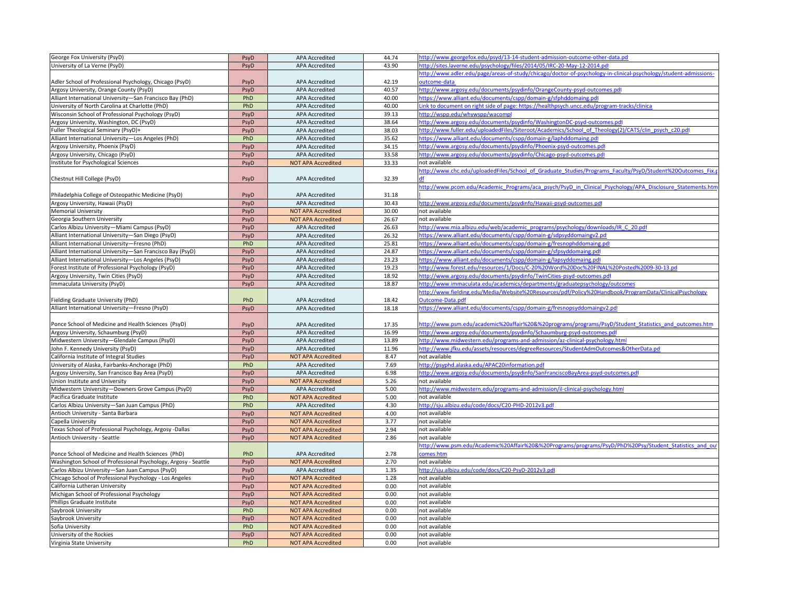| George Fox University (PsyD)                                   | PsyD         | <b>APA Accredited</b>                   | 44.74          | ittp://www.georgefox.edu/psyd/13-14-student-admission-outcome-other-data.pd                                      |
|----------------------------------------------------------------|--------------|-----------------------------------------|----------------|------------------------------------------------------------------------------------------------------------------|
| University of La Verne (PsyD)                                  | PsyD         | <b>APA Accredited</b>                   | 43.90          | ttp://sites.laverne.edu/psychology/files/2014/05/IRC-20-May-12-2014.pdf                                          |
|                                                                |              |                                         |                | nttp://www.adler.edu/page/areas-of-study/chicago/doctor-of-psychology-in-clinical-psychology/student-admissions- |
| Adler School of Professional Psychology, Chicago (PsyD)        | PsyD         | <b>APA Accredited</b>                   | 42.19          | utcome-data                                                                                                      |
| Argosy University, Orange County (PsyD)                        | PsyD         | <b>APA Accredited</b>                   | 40.57          | http://www.argosy.edu/documents/psydinfo/OrangeCounty-psyd-outcomes.pdf                                          |
| Alliant International University-San Francisco Bay (PhD)       | PhD          | <b>APA Accredited</b>                   | 40.00          | https://www.alliant.edu/documents/cspp/domain-g/sfphddomaing.pdf                                                 |
| University of North Carolina at Charlotte (PhD)                | PhD          | APA Accredited                          | 40.00          | ink to document on right side of page: https://healthpsych.uncc.edu/program-tracks/clinica.                      |
| Wisconsin School of Professional Psychology (PsyD)             | PsyD         | <b>APA Accredited</b>                   | 39.13          | http://wspp.edu/whywspp/wacompl                                                                                  |
| Argosy University, Washington, DC (PsyD)                       | PsyD         | APA Accredited                          | 38.64          | http://www.argosy.edu/documents/psydinfo/WashingtonDC-psyd-outcomes.pd                                           |
| Fuller Theological Seminary (PsyD)+                            | PsyD         | <b>APA Accredited</b>                   | 38.03          | http://www.fuller.edu/uploadedFiles/Siteroot/Academics/School of Theology(2)/CATS/clin psych c20.pdf             |
| Alliant International University-Los Angeles (PhD)             | PhD          | <b>APA Accredited</b>                   | 35.62          | ittps://www.alliant.edu/documents/cspp/domain-g/laphddomaing.pdf                                                 |
| Argosy University, Phoenix (PsyD)                              | PsyD         | <b>APA Accredited</b>                   | 34.15          | http://www.argosy.edu/documents/psydinfo/Phoenix-psyd-outcomes.pdf                                               |
| Argosy University, Chicago (PsyD)                              | PsyD         | APA Accredited                          | 33.58          | http://www.argosy.edu/documents/psydinfo/Chicago-psyd-outcomes.pdf                                               |
| Institute for Psychological Sciences                           | PsyD         | <b>NOT APA Accredited</b>               | 33.33          | not available                                                                                                    |
|                                                                |              |                                         |                | http://www.chc.edu/uploadedFiles/School of Graduate Studies/Programs Faculty/PsyD/Student%20Outcomes Fix.j       |
| Chestnut Hill College (PsyD)                                   | PsyD         | <b>APA Accredited</b>                   | 32.39          |                                                                                                                  |
|                                                                |              |                                         |                | http://www.pcom.edu/Academic Programs/aca psych/PsyD in Clinical Psychology/APA Disclosure Statements.htn        |
|                                                                |              |                                         |                |                                                                                                                  |
| Philadelphia College of Osteopathic Medicine (PsyD)            | PsyD<br>PsyD | APA Accredited<br><b>APA Accredited</b> | 31.18<br>30.43 | http://www.argosy.edu/documents/psydinfo/Hawaii-psyd-outcomes.pdf                                                |
| Argosy University, Hawaii (PsyD)                               |              |                                         |                |                                                                                                                  |
| Memorial University                                            | PsyD         | <b>NOT APA Accredited</b>               | 30.00          | not available                                                                                                    |
| Georgia Southern University                                    | PsyD         | <b>NOT APA Accredited</b>               | 26.67          | not available                                                                                                    |
| Carlos Albizu University-Miami Campus (PsyD)                   | PsyD         | <b>APA Accredited</b>                   | 26.63          | http://www.mia.albizu.edu/web/academic_programs/psychology/downloads/IR_C_20.pdf                                 |
| Alliant International University-San Diego (PsyD)              | PsyD         | <b>APA Accredited</b>                   | 26.32          | https://www.alliant.edu/documents/cspp/domain-g/sdpsyddomaingv2.pdf                                              |
| Alliant International University-Fresno (PhD)                  | PhD          | <b>APA Accredited</b>                   | 25.81          | https://www.alliant.edu/documents/cspp/domain-g/fresnophddomaing.pd                                              |
| Alliant International University-San Francisco Bay (PsyD)      | PsyD         | <b>APA Accredited</b>                   | 24.87          | https://www.alliant.edu/documents/cspp/domain-g/sfpsyddomaing.pdf                                                |
| Alliant International University-Los Angeles (PsyD)            | PsyD         | <b>APA Accredited</b>                   | 23.23          | https://www.alliant.edu/documents/cspp/domain-g/lapsyddomaing.pdf                                                |
| Forest Institute of Professional Psychology (PsyD)             | PsyD         | APA Accredited                          | 19.23          | http://www.forest.edu/resources/1/Docs/C-20%20Word%20Doc%20FINAL%20Posted%2009-30-13.pd                          |
| Argosy University, Twin Cities (PsyD)                          | PsyD         | <b>APA Accredited</b>                   | 18.92          | http://www.argosy.edu/documents/psydinfo/TwinCities-psyd-outcomes.pdf                                            |
| Immaculata University (PsyD)                                   | PsyD         | <b>APA Accredited</b>                   | 18.87          | http://www.immaculata.edu/academics/departments/graduatepsychology/outcomes                                      |
|                                                                |              |                                         |                | http://www.fielding.edu/Media/Website%20Resources/pdf/Policy%20Handbook/ProgramData/ClinicalPsychology           |
| Fielding Graduate University (PhD)                             | PhD          | <b>APA Accredited</b>                   | 18.42          | Outcome-Data.pdf                                                                                                 |
| Alliant International University-Fresno (PsyD)                 | PsyD         | <b>APA Accredited</b>                   | 18.18          | https://www.alliant.edu/documents/cspp/domain-g/fresnopsyddomaingv2.pdf                                          |
|                                                                |              |                                         |                |                                                                                                                  |
| Ponce School of Medicine and Health Sciences (PsyD)            | PsyD         | <b>APA Accredited</b>                   | 17.35          | http://www.psm.edu/academic%20affair%20&%20programs/programs/PsyD/Student Statistics and outcomes.htm            |
| Argosy University, Schaumburg (PsyD)                           | PsyD         | <b>APA Accredited</b>                   | 16.99          | http://www.argosy.edu/documents/psydinfo/Schaumburg-psyd-outcomes.pd                                             |
| Midwestern University-Glendale Campus (PsyD)                   | PsyD         | APA Accredited                          | 13.89          | http://www.midwestern.edu/programs-and-admission/az-clinical-psychology.html                                     |
| John F. Kennedy University (PsyD                               | PsyD         | <b>APA Accredited</b>                   | 11.96          | http://www.jfku.edu/assets/resources/degreeResources/StudentAdmOutcomes&OtherData.pd                             |
| California Institute of Integral Studies                       | PsyD         | <b>NOT APA Accredited</b>               | 8.47           | not available                                                                                                    |
| University of Alaska, Fairbanks-Anchorage (PhD)                | PhD          | <b>APA Accredited</b>                   | 7.69           | http://psyphd.alaska.edu/APAC20information.pdf                                                                   |
| Argosy University, San Francisco Bay Area (PsyD)               | PsyD         | APA Accredited                          | 6.98           | ittp://www.argosy.edu/documents/psydinfo/SanFranciscoBayArea-psyd-outcomes.pdf                                   |
| Union Institute and University                                 | PsyD         | <b>NOT APA Accredited</b>               | 5.26           | not available                                                                                                    |
| Midwestern University-Downers Grove Campus (PsyD)              | PsyD         | <b>APA Accredited</b>                   | 5.00           | http://www.midwestern.edu/programs-and-admission/il-clinical-psychology.html                                     |
| Pacifica Graduate Institute                                    | PhD          | <b>NOT APA Accredited</b>               | 5.00           | not available                                                                                                    |
| Carlos Albizu University-San Juan Campus (PhD)                 | PhD          | <b>APA Accredited</b>                   | 4.30           | http://sju.albizu.edu/code/docs/C20-PHD-2012v3.pdf                                                               |
| Antioch University - Santa Barbara                             | PsyD         | <b>NOT APA Accredited</b>               | 4.00           | not available                                                                                                    |
| Capella University                                             | PsyD         | <b>NOT APA Accredited</b>               | 3.77           | not available                                                                                                    |
| Texas School of Professional Psychology, Argosy -Dallas        | PsyD         | <b>NOT APA Accredited</b>               | 2.94           | not available                                                                                                    |
| Antioch University - Seattle                                   | PsyD         | <b>NOT APA Accredited</b>               | 2.86           | not available                                                                                                    |
|                                                                |              |                                         |                | http://www.psm.edu/Academic%20Affair%20&%20Programs/programs/PsyD/PhD%20Psy/Student Statistics and out           |
| Ponce School of Medicine and Health Sciences (PhD)             | PhD          | <b>APA Accredited</b>                   | 2.78           | comes.htm                                                                                                        |
| Washington School of Professional Psychology, Argosy - Seattle | PsyD         | <b>NOT APA Accredited</b>               | 2.70           | not available                                                                                                    |
| Carlos Albizu University-San Juan Campus (PsyD)                | PsyD         | APA Accredited                          | 1.35           | http://sju.albizu.edu/code/docs/C20-PsyD-2012v3.pdf                                                              |
|                                                                |              |                                         |                |                                                                                                                  |
| Chicago School of Professional Psychology - Los Angeles        | PsyD         | <b>NOT APA Accredited</b>               | 1.28           | not available                                                                                                    |
| California Lutheran University                                 | PsyD         | <b>NOT APA Accredited</b>               | 0.00           | not available                                                                                                    |
| Michigan School of Professional Psychology                     | PsyD         | <b>NOT APA Accredited</b>               | 0.00           | not available                                                                                                    |
| Phillips Graduate Institute                                    | PsyD         | <b>NOT APA Accredited</b>               | 0.00           | not available                                                                                                    |
| Saybrook University                                            | PhD          | <b>NOT APA Accredited</b>               | 0.00           | not available                                                                                                    |
| Saybrook University                                            | PsyD         | <b>NOT APA Accredited</b>               | 0.00           | not available                                                                                                    |
| Sofia University                                               | PhD          | <b>NOT APA Accredited</b>               | 0.00           | not available                                                                                                    |
| University of the Rockies                                      | PsyD         | <b>NOT APA Accredited</b>               | 0.00           | not available                                                                                                    |
| Virginia State University                                      | PhD          | <b>NOT APA Accredited</b>               | 0.00           | not available                                                                                                    |